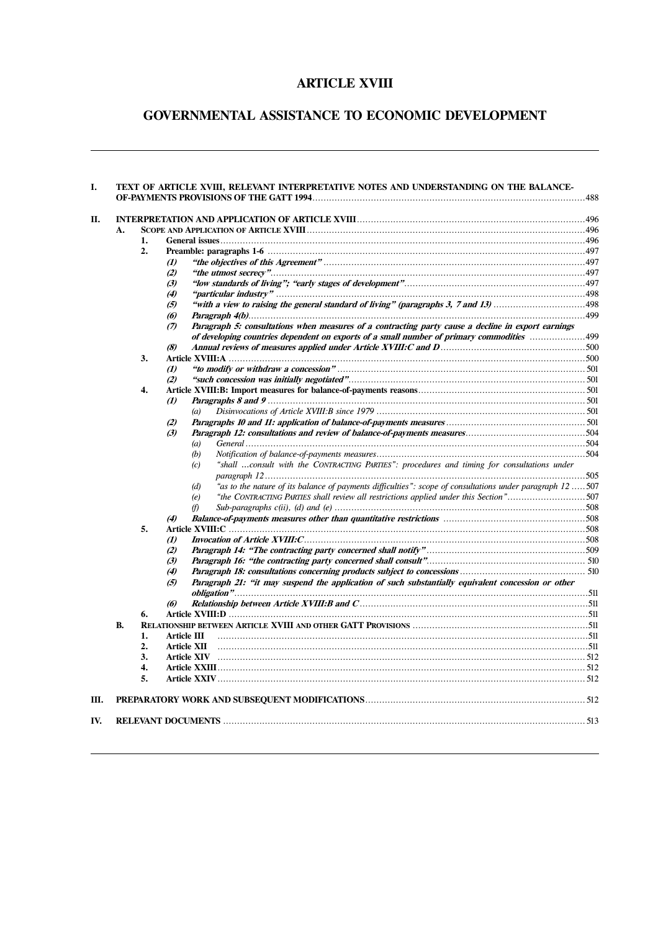# **ARTICLE XVIII**

# **GOVERNMENTAL ASSISTANCE TO ECONOMIC DEVELOPMENT**

| П.  |           |    |                                                                                                                     |  |  |  |
|-----|-----------|----|---------------------------------------------------------------------------------------------------------------------|--|--|--|
|     | A.        |    |                                                                                                                     |  |  |  |
|     |           | 1. |                                                                                                                     |  |  |  |
|     |           | 2. |                                                                                                                     |  |  |  |
|     |           |    | $\boldsymbol{v}$                                                                                                    |  |  |  |
|     |           |    | (2)                                                                                                                 |  |  |  |
|     |           |    | $\mathcal{L}$                                                                                                       |  |  |  |
|     |           |    | $\boldsymbol{r}$                                                                                                    |  |  |  |
|     |           |    | (5)                                                                                                                 |  |  |  |
|     |           |    | (6)                                                                                                                 |  |  |  |
|     |           |    | Paragraph 5: consultations when measures of a contracting party cause a decline in export earnings<br>$\mathcal{L}$ |  |  |  |
|     |           |    | of developing countries dependent on exports of a small number of primary commodities 499                           |  |  |  |
|     |           |    | (8)                                                                                                                 |  |  |  |
|     |           | 3. |                                                                                                                     |  |  |  |
|     |           |    | $\mathbf{u}$                                                                                                        |  |  |  |
|     |           |    | (2)                                                                                                                 |  |  |  |
|     |           | 4. |                                                                                                                     |  |  |  |
|     |           |    | $\mathbf{u}$                                                                                                        |  |  |  |
|     |           |    | (a)                                                                                                                 |  |  |  |
|     |           |    | (2)                                                                                                                 |  |  |  |
|     |           |    | (3)                                                                                                                 |  |  |  |
|     |           |    | (a)                                                                                                                 |  |  |  |
|     |           |    | (b)                                                                                                                 |  |  |  |
|     |           |    | "shall consult with the CONTRACTING PARTIES": procedures and timing for consultations under<br>(c)                  |  |  |  |
|     |           |    |                                                                                                                     |  |  |  |
|     |           |    | "as to the nature of its balance of payments difficulties": scope of consultations under paragraph 12 507<br>(d)    |  |  |  |
|     |           |    | "the CONTRACTING PARTIES shall review all restrictions applied under this Section"507<br>(e)                        |  |  |  |
|     |           |    | (f)                                                                                                                 |  |  |  |
|     |           |    | $\boldsymbol{A}$                                                                                                    |  |  |  |
|     |           | 5. |                                                                                                                     |  |  |  |
|     |           |    | $\boldsymbol{v}$                                                                                                    |  |  |  |
|     |           |    | (2)                                                                                                                 |  |  |  |
|     |           |    | (3)                                                                                                                 |  |  |  |
|     |           |    | $\boldsymbol{r}$                                                                                                    |  |  |  |
|     |           |    | Paragraph 21: "it may suspend the application of such substantially equivalent concession or other<br>(5)           |  |  |  |
|     |           |    |                                                                                                                     |  |  |  |
|     |           |    | $\omega$                                                                                                            |  |  |  |
|     | <b>B.</b> | 6. |                                                                                                                     |  |  |  |
|     |           | 1. | <b>Article III</b>                                                                                                  |  |  |  |
|     |           | 2. | <b>Article XII</b>                                                                                                  |  |  |  |
|     |           | 3. |                                                                                                                     |  |  |  |
|     |           | 4. |                                                                                                                     |  |  |  |
|     |           | 5. |                                                                                                                     |  |  |  |
|     |           |    |                                                                                                                     |  |  |  |
| Ш.  |           |    |                                                                                                                     |  |  |  |
|     |           |    |                                                                                                                     |  |  |  |
| IV. |           |    |                                                                                                                     |  |  |  |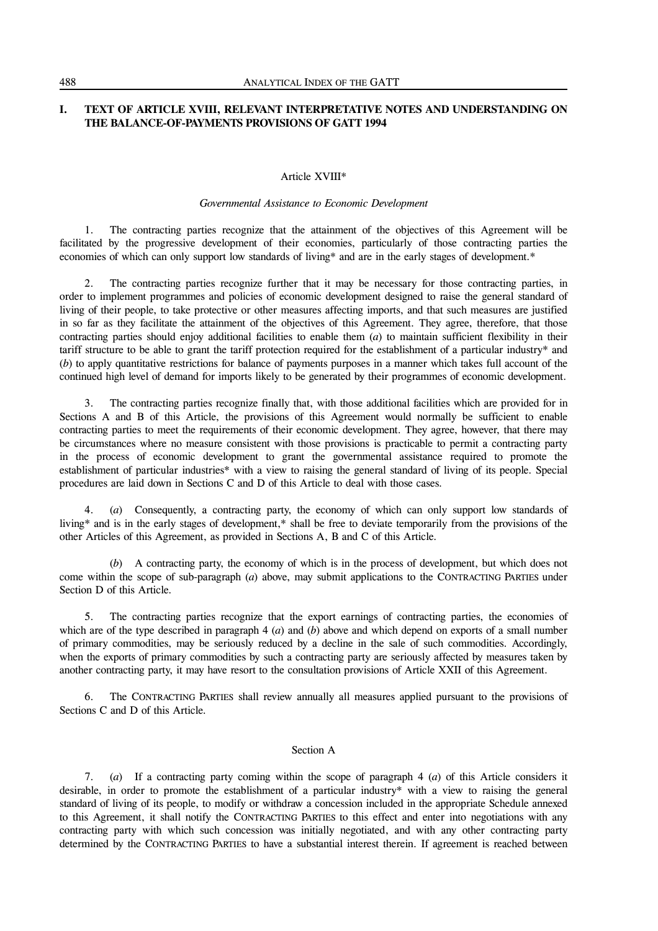# **I. TEXT OF ARTICLE XVIII, RELEVANT INTERPRETATIVE NOTES AND UNDERSTANDING ON THE BALANCE-OF-PAYMENTS PROVISIONS OF GATT 1994**

# Article XVIII\*

### *Governmental Assistance to Economic Development*

 1. The contracting parties recognize that the attainment of the objectives of this Agreement will be facilitated by the progressive development of their economies, particularly of those contracting parties the economies of which can only support low standards of living\* and are in the early stages of development.\*

 2. The contracting parties recognize further that it may be necessary for those contracting parties, in order to implement programmes and policies of economic development designed to raise the general standard of living of their people, to take protective or other measures affecting imports, and that such measures are justified in so far as they facilitate the attainment of the objectives of this Agreement. They agree, therefore, that those contracting parties should enjoy additional facilities to enable them (*a*) to maintain sufficient flexibility in their tariff structure to be able to grant the tariff protection required for the establishment of a particular industry\* and (*b*) to apply quantitative restrictions for balance of payments purposes in a manner which takes full account of the continued high level of demand for imports likely to be generated by their programmes of economic development.

 3. The contracting parties recognize finally that, with those additional facilities which are provided for in Sections A and B of this Article, the provisions of this Agreement would normally be sufficient to enable contracting parties to meet the requirements of their economic development. They agree, however, that there may be circumstances where no measure consistent with those provisions is practicable to permit a contracting party in the process of economic development to grant the governmental assistance required to promote the establishment of particular industries\* with a view to raising the general standard of living of its people. Special procedures are laid down in Sections C and D of this Article to deal with those cases.

 4. (*a*) Consequently, a contracting party, the economy of which can only support low standards of living\* and is in the early stages of development,\* shall be free to deviate temporarily from the provisions of the other Articles of this Agreement, as provided in Sections A, B and C of this Article.

 (*b*) A contracting party, the economy of which is in the process of development, but which does not come within the scope of sub-paragraph (*a*) above, may submit applications to the CONTRACTING PARTIES under Section D of this Article.

 5. The contracting parties recognize that the export earnings of contracting parties, the economies of which are of the type described in paragraph 4 (*a*) and (*b*) above and which depend on exports of a small number of primary commodities, may be seriously reduced by a decline in the sale of such commodities. Accordingly, when the exports of primary commodities by such a contracting party are seriously affected by measures taken by another contracting party, it may have resort to the consultation provisions of Article XXII of this Agreement.

 6. The CONTRACTING PARTIES shall review annually all measures applied pursuant to the provisions of Sections C and D of this Article.

### Section A

 7. (*a*) If a contracting party coming within the scope of paragraph 4 (*a*) of this Article considers it desirable, in order to promote the establishment of a particular industry\* with a view to raising the general standard of living of its people, to modify or withdraw a concession included in the appropriate Schedule annexed to this Agreement, it shall notify the CONTRACTING PARTIES to this effect and enter into negotiations with any contracting party with which such concession was initially negotiated, and with any other contracting party determined by the CONTRACTING PARTIES to have a substantial interest therein. If agreement is reached between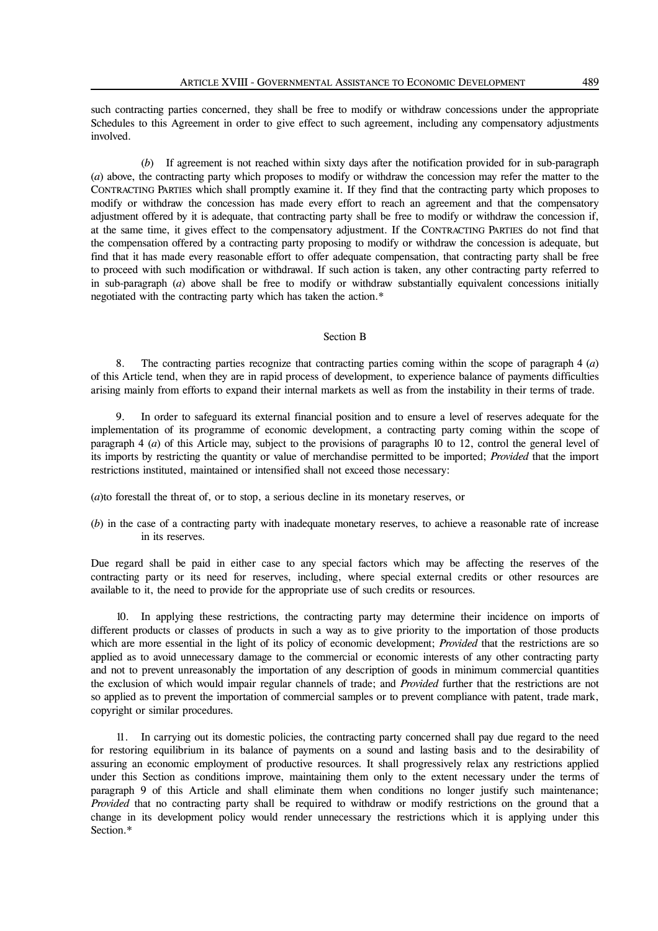such contracting parties concerned, they shall be free to modify or withdraw concessions under the appropriate Schedules to this Agreement in order to give effect to such agreement, including any compensatory adjustments involved.

 (*b*) If agreement is not reached within sixty days after the notification provided for in sub-paragraph (*a*) above, the contracting party which proposes to modify or withdraw the concession may refer the matter to the CONTRACTING PARTIES which shall promptly examine it. If they find that the contracting party which proposes to modify or withdraw the concession has made every effort to reach an agreement and that the compensatory adjustment offered by it is adequate, that contracting party shall be free to modify or withdraw the concession if, at the same time, it gives effect to the compensatory adjustment. If the CONTRACTING PARTIES do not find that the compensation offered by a contracting party proposing to modify or withdraw the concession is adequate, but find that it has made every reasonable effort to offer adequate compensation, that contracting party shall be free to proceed with such modification or withdrawal. If such action is taken, any other contracting party referred to in sub-paragraph (*a*) above shall be free to modify or withdraw substantially equivalent concessions initially negotiated with the contracting party which has taken the action.\*

# Section B

 8. The contracting parties recognize that contracting parties coming within the scope of paragraph 4 (*a*) of this Article tend, when they are in rapid process of development, to experience balance of payments difficulties arising mainly from efforts to expand their internal markets as well as from the instability in their terms of trade.

 9. In order to safeguard its external financial position and to ensure a level of reserves adequate for the implementation of its programme of economic development, a contracting party coming within the scope of paragraph 4 (*a*) of this Article may, subject to the provisions of paragraphs 10 to 12, control the general level of its imports by restricting the quantity or value of merchandise permitted to be imported; *Provided* that the import restrictions instituted, maintained or intensified shall not exceed those necessary:

(*a*)to forestall the threat of, or to stop, a serious decline in its monetary reserves, or

(*b*) in the case of a contracting party with inadequate monetary reserves, to achieve a reasonable rate of increase in its reserves.

Due regard shall be paid in either case to any special factors which may be affecting the reserves of the contracting party or its need for reserves, including, where special external credits or other resources are available to it, the need to provide for the appropriate use of such credits or resources.

 10. In applying these restrictions, the contracting party may determine their incidence on imports of different products or classes of products in such a way as to give priority to the importation of those products which are more essential in the light of its policy of economic development; *Provided* that the restrictions are so applied as to avoid unnecessary damage to the commercial or economic interests of any other contracting party and not to prevent unreasonably the importation of any description of goods in minimum commercial quantities the exclusion of which would impair regular channels of trade; and *Provided* further that the restrictions are not so applied as to prevent the importation of commercial samples or to prevent compliance with patent, trade mark, copyright or similar procedures.

 11. In carrying out its domestic policies, the contracting party concerned shall pay due regard to the need for restoring equilibrium in its balance of payments on a sound and lasting basis and to the desirability of assuring an economic employment of productive resources. It shall progressively relax any restrictions applied under this Section as conditions improve, maintaining them only to the extent necessary under the terms of paragraph 9 of this Article and shall eliminate them when conditions no longer justify such maintenance; *Provided* that no contracting party shall be required to withdraw or modify restrictions on the ground that a change in its development policy would render unnecessary the restrictions which it is applying under this Section.\*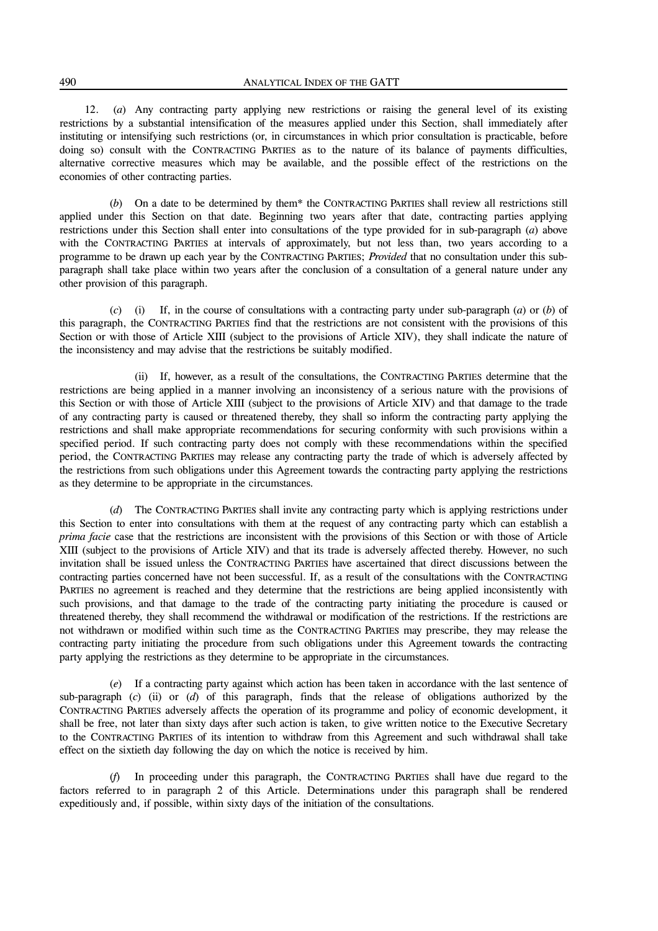12. (*a*) Any contracting party applying new restrictions or raising the general level of its existing restrictions by a substantial intensification of the measures applied under this Section, shall immediately after instituting or intensifying such restrictions (or, in circumstances in which prior consultation is practicable, before doing so) consult with the CONTRACTING PARTIES as to the nature of its balance of payments difficulties, alternative corrective measures which may be available, and the possible effect of the restrictions on the economies of other contracting parties.

 (*b*) On a date to be determined by them\* the CONTRACTING PARTIES shall review all restrictions still applied under this Section on that date. Beginning two years after that date, contracting parties applying restrictions under this Section shall enter into consultations of the type provided for in sub-paragraph (*a*) above with the CONTRACTING PARTIES at intervals of approximately, but not less than, two years according to a programme to be drawn up each year by the CONTRACTING PARTIES; *Provided* that no consultation under this subparagraph shall take place within two years after the conclusion of a consultation of a general nature under any other provision of this paragraph.

 (*c*) (i) If, in the course of consultations with a contracting party under sub-paragraph (*a*) or (*b*) of this paragraph, the CONTRACTING PARTIES find that the restrictions are not consistent with the provisions of this Section or with those of Article XIII (subject to the provisions of Article XIV), they shall indicate the nature of the inconsistency and may advise that the restrictions be suitably modified.

 (ii) If, however, as a result of the consultations, the CONTRACTING PARTIES determine that the restrictions are being applied in a manner involving an inconsistency of a serious nature with the provisions of this Section or with those of Article XIII (subject to the provisions of Article XIV) and that damage to the trade of any contracting party is caused or threatened thereby, they shall so inform the contracting party applying the restrictions and shall make appropriate recommendations for securing conformity with such provisions within a specified period. If such contracting party does not comply with these recommendations within the specified period, the CONTRACTING PARTIES may release any contracting party the trade of which is adversely affected by the restrictions from such obligations under this Agreement towards the contracting party applying the restrictions as they determine to be appropriate in the circumstances.

 (*d*) The CONTRACTING PARTIES shall invite any contracting party which is applying restrictions under this Section to enter into consultations with them at the request of any contracting party which can establish a *prima facie* case that the restrictions are inconsistent with the provisions of this Section or with those of Article XIII (subject to the provisions of Article XIV) and that its trade is adversely affected thereby. However, no such invitation shall be issued unless the CONTRACTING PARTIES have ascertained that direct discussions between the contracting parties concerned have not been successful. If, as a result of the consultations with the CONTRACTING PARTIES no agreement is reached and they determine that the restrictions are being applied inconsistently with such provisions, and that damage to the trade of the contracting party initiating the procedure is caused or threatened thereby, they shall recommend the withdrawal or modification of the restrictions. If the restrictions are not withdrawn or modified within such time as the CONTRACTING PARTIES may prescribe, they may release the contracting party initiating the procedure from such obligations under this Agreement towards the contracting party applying the restrictions as they determine to be appropriate in the circumstances.

 (*e*) If a contracting party against which action has been taken in accordance with the last sentence of sub-paragraph (*c*) (ii) or (*d*) of this paragraph, finds that the release of obligations authorized by the CONTRACTING PARTIES adversely affects the operation of its programme and policy of economic development, it shall be free, not later than sixty days after such action is taken, to give written notice to the Executive Secretary to the CONTRACTING PARTIES of its intention to withdraw from this Agreement and such withdrawal shall take effect on the sixtieth day following the day on which the notice is received by him.

 (*f*) In proceeding under this paragraph, the CONTRACTING PARTIES shall have due regard to the factors referred to in paragraph 2 of this Article. Determinations under this paragraph shall be rendered expeditiously and, if possible, within sixty days of the initiation of the consultations.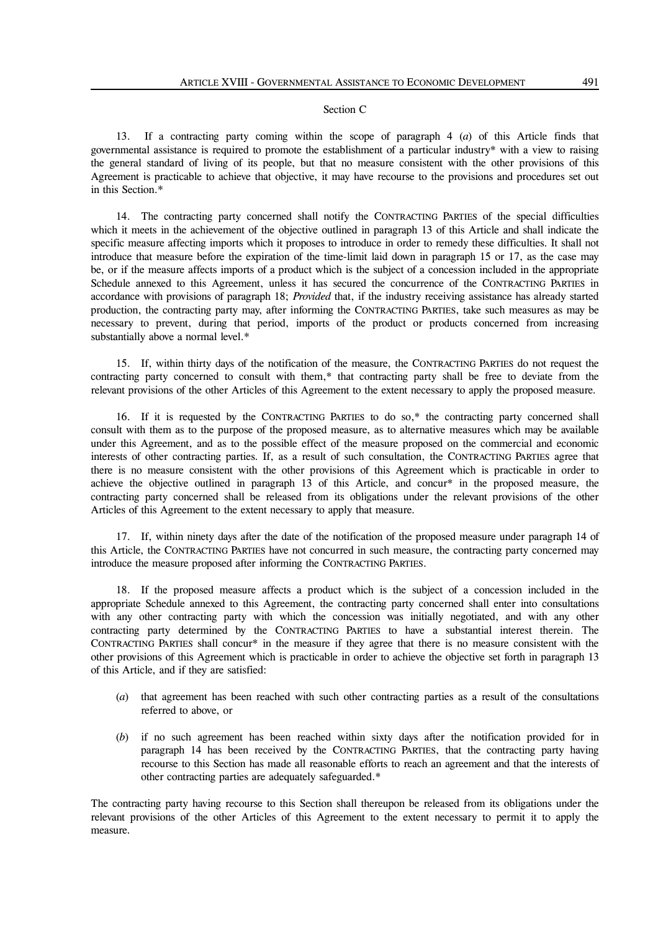# Section<sub>C</sub>

 13. If a contracting party coming within the scope of paragraph 4 (*a*) of this Article finds that governmental assistance is required to promote the establishment of a particular industry\* with a view to raising the general standard of living of its people, but that no measure consistent with the other provisions of this Agreement is practicable to achieve that objective, it may have recourse to the provisions and procedures set out in this Section.\*

 14. The contracting party concerned shall notify the CONTRACTING PARTIES of the special difficulties which it meets in the achievement of the objective outlined in paragraph 13 of this Article and shall indicate the specific measure affecting imports which it proposes to introduce in order to remedy these difficulties. It shall not introduce that measure before the expiration of the time-limit laid down in paragraph 15 or 17, as the case may be, or if the measure affects imports of a product which is the subject of a concession included in the appropriate Schedule annexed to this Agreement, unless it has secured the concurrence of the CONTRACTING PARTIES in accordance with provisions of paragraph 18; *Provided* that, if the industry receiving assistance has already started production, the contracting party may, after informing the CONTRACTING PARTIES, take such measures as may be necessary to prevent, during that period, imports of the product or products concerned from increasing substantially above a normal level.\*

 15. If, within thirty days of the notification of the measure, the CONTRACTING PARTIES do not request the contracting party concerned to consult with them,\* that contracting party shall be free to deviate from the relevant provisions of the other Articles of this Agreement to the extent necessary to apply the proposed measure.

 16. If it is requested by the CONTRACTING PARTIES to do so,\* the contracting party concerned shall consult with them as to the purpose of the proposed measure, as to alternative measures which may be available under this Agreement, and as to the possible effect of the measure proposed on the commercial and economic interests of other contracting parties. If, as a result of such consultation, the CONTRACTING PARTIES agree that there is no measure consistent with the other provisions of this Agreement which is practicable in order to achieve the objective outlined in paragraph 13 of this Article, and concur\* in the proposed measure, the contracting party concerned shall be released from its obligations under the relevant provisions of the other Articles of this Agreement to the extent necessary to apply that measure.

 17. If, within ninety days after the date of the notification of the proposed measure under paragraph 14 of this Article, the CONTRACTING PARTIES have not concurred in such measure, the contracting party concerned may introduce the measure proposed after informing the CONTRACTING PARTIES.

 18. If the proposed measure affects a product which is the subject of a concession included in the appropriate Schedule annexed to this Agreement, the contracting party concerned shall enter into consultations with any other contracting party with which the concession was initially negotiated, and with any other contracting party determined by the CONTRACTING PARTIES to have a substantial interest therein. The CONTRACTING PARTIES shall concur\* in the measure if they agree that there is no measure consistent with the other provisions of this Agreement which is practicable in order to achieve the objective set forth in paragraph 13 of this Article, and if they are satisfied:

- (*a*) that agreement has been reached with such other contracting parties as a result of the consultations referred to above, or
- (*b*) if no such agreement has been reached within sixty days after the notification provided for in paragraph 14 has been received by the CONTRACTING PARTIES, that the contracting party having recourse to this Section has made all reasonable efforts to reach an agreement and that the interests of other contracting parties are adequately safeguarded.\*

The contracting party having recourse to this Section shall thereupon be released from its obligations under the relevant provisions of the other Articles of this Agreement to the extent necessary to permit it to apply the measure.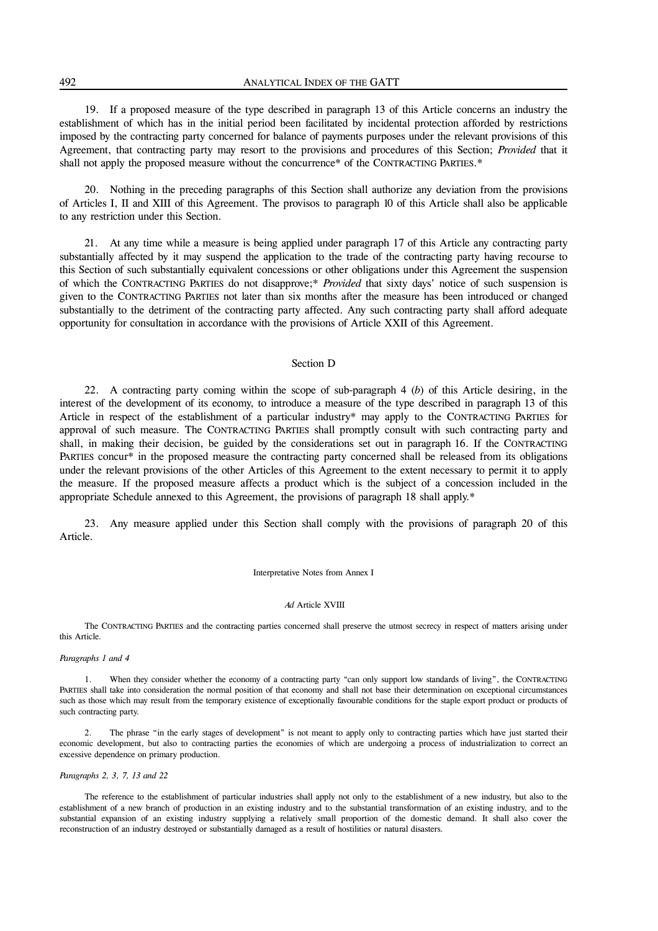19. If a proposed measure of the type described in paragraph 13 of this Article concerns an industry the establishment of which has in the initial period been facilitated by incidental protection afforded by restrictions imposed by the contracting party concerned for balance of payments purposes under the relevant provisions of this Agreement, that contracting party may resort to the provisions and procedures of this Section; *Provided* that it shall not apply the proposed measure without the concurrence\* of the CONTRACTING PARTIES.\*

 20. Nothing in the preceding paragraphs of this Section shall authorize any deviation from the provisions of Articles I, II and XIII of this Agreement. The provisos to paragraph 10 of this Article shall also be applicable to any restriction under this Section.

 21. At any time while a measure is being applied under paragraph 17 of this Article any contracting party substantially affected by it may suspend the application to the trade of the contracting party having recourse to this Section of such substantially equivalent concessions or other obligations under this Agreement the suspension of which the CONTRACTING PARTIES do not disapprove;\* *Provided* that sixty days' notice of such suspension is given to the CONTRACTING PARTIES not later than six months after the measure has been introduced or changed substantially to the detriment of the contracting party affected. Any such contracting party shall afford adequate opportunity for consultation in accordance with the provisions of Article XXII of this Agreement.

# Section D

 22. A contracting party coming within the scope of sub-paragraph 4 (*b*) of this Article desiring, in the interest of the development of its economy, to introduce a measure of the type described in paragraph 13 of this Article in respect of the establishment of a particular industry\* may apply to the CONTRACTING PARTIES for approval of such measure. The CONTRACTING PARTIES shall promptly consult with such contracting party and shall, in making their decision, be guided by the considerations set out in paragraph 16. If the CONTRACTING PARTIES concur\* in the proposed measure the contracting party concerned shall be released from its obligations under the relevant provisions of the other Articles of this Agreement to the extent necessary to permit it to apply the measure. If the proposed measure affects a product which is the subject of a concession included in the appropriate Schedule annexed to this Agreement, the provisions of paragraph 18 shall apply.\*

 23. Any measure applied under this Section shall comply with the provisions of paragraph 20 of this Article.

Interpretative Notes from Annex I

#### *Ad* Article XVIII

 The CONTRACTING PARTIES and the contracting parties concerned shall preserve the utmost secrecy in respect of matters arising under this Article.

*Paragraphs 1 and 4*

 1. When they consider whether the economy of a contracting party "can only support low standards of living", the CONTRACTING PARTIES shall take into consideration the normal position of that economy and shall not base their determination on exceptional circumstances such as those which may result from the temporary existence of exceptionally favourable conditions for the staple export product or products of such contracting party.

 2. The phrase "in the early stages of development" is not meant to apply only to contracting parties which have just started their economic development, but also to contracting parties the economies of which are undergoing a process of industrialization to correct an excessive dependence on primary production.

#### *Paragraphs 2, 3, 7, 13 and 22*

 The reference to the establishment of particular industries shall apply not only to the establishment of a new industry, but also to the establishment of a new branch of production in an existing industry and to the substantial transformation of an existing industry, and to the substantial expansion of an existing industry supplying a relatively small proportion of the domestic demand. It shall also cover the reconstruction of an industry destroyed or substantially damaged as a result of hostilities or natural disasters.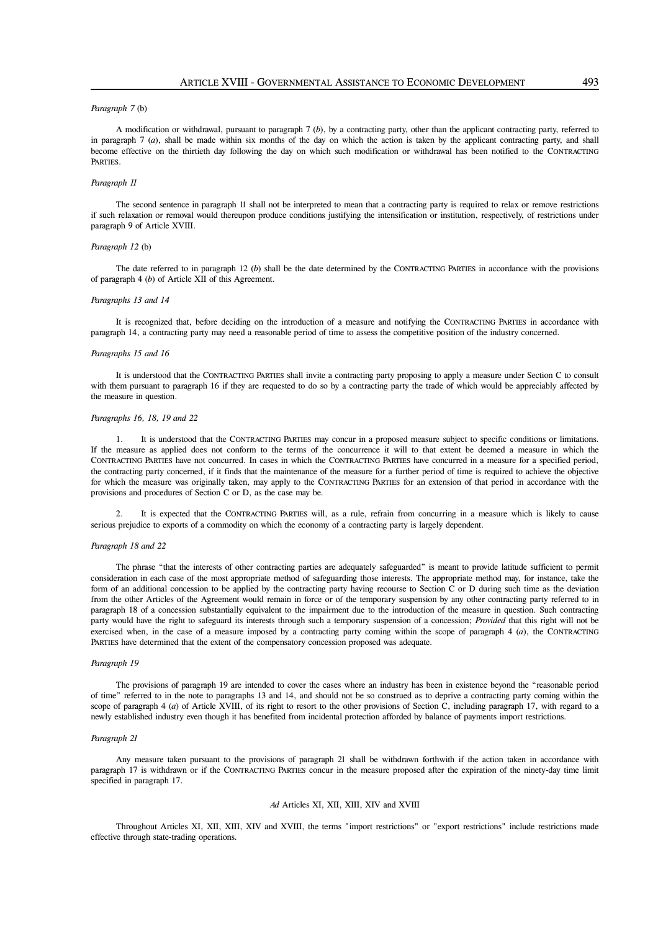### *Paragraph 7* (b)

 A modification or withdrawal, pursuant to paragraph 7 (*b*), by a contracting party, other than the applicant contracting party, referred to in paragraph 7 (*a*), shall be made within six months of the day on which the action is taken by the applicant contracting party, and shall become effective on the thirtieth day following the day on which such modification or withdrawal has been notified to the CONTRACTING PARTIES.

#### *Paragraph 11*

 The second sentence in paragraph 11 shall not be interpreted to mean that a contracting party is required to relax or remove restrictions if such relaxation or removal would thereupon produce conditions justifying the intensification or institution, respectively, of restrictions under paragraph 9 of Article XVIII.

### *Paragraph 12* (b)

 The date referred to in paragraph 12 (*b*) shall be the date determined by the CONTRACTING PARTIES in accordance with the provisions of paragraph 4 (*b*) of Article XII of this Agreement.

#### *Paragraphs 13 and 14*

 It is recognized that, before deciding on the introduction of a measure and notifying the CONTRACTING PARTIES in accordance with paragraph 14, a contracting party may need a reasonable period of time to assess the competitive position of the industry concerned.

#### *Paragraphs 15 and 16*

 It is understood that the CONTRACTING PARTIES shall invite a contracting party proposing to apply a measure under Section C to consult with them pursuant to paragraph 16 if they are requested to do so by a contracting party the trade of which would be appreciably affected by the measure in question.

#### *Paragraphs 16, 18, 19 and 22*

 1. It is understood that the CONTRACTING PARTIES may concur in a proposed measure subject to specific conditions or limitations. If the measure as applied does not conform to the terms of the concurrence it will to that extent be deemed a measure in which the CONTRACTING PARTIES have not concurred. In cases in which the CONTRACTING PARTIES have concurred in a measure for a specified period, the contracting party concerned, if it finds that the maintenance of the measure for a further period of time is required to achieve the objective for which the measure was originally taken, may apply to the CONTRACTING PARTIES for an extension of that period in accordance with the provisions and procedures of Section C or D, as the case may be.

 2. It is expected that the CONTRACTING PARTIES will, as a rule, refrain from concurring in a measure which is likely to cause serious prejudice to exports of a commodity on which the economy of a contracting party is largely dependent.

#### *Paragraph 18 and 22*

 The phrase "that the interests of other contracting parties are adequately safeguarded" is meant to provide latitude sufficient to permit consideration in each case of the most appropriate method of safeguarding those interests. The appropriate method may, for instance, take the form of an additional concession to be applied by the contracting party having recourse to Section C or D during such time as the deviation from the other Articles of the Agreement would remain in force or of the temporary suspension by any other contracting party referred to in paragraph 18 of a concession substantially equivalent to the impairment due to the introduction of the measure in question. Such contracting party would have the right to safeguard its interests through such a temporary suspension of a concession; *Provided* that this right will not be exercised when, in the case of a measure imposed by a contracting party coming within the scope of paragraph 4 (*a*), the CONTRACTING PARTIES have determined that the extent of the compensatory concession proposed was adequate.

#### *Paragraph 19*

 The provisions of paragraph 19 are intended to cover the cases where an industry has been in existence beyond the "reasonable period of time" referred to in the note to paragraphs 13 and 14, and should not be so construed as to deprive a contracting party coming within the scope of paragraph 4 (*a*) of Article XVIII, of its right to resort to the other provisions of Section C, including paragraph 17, with regard to a newly established industry even though it has benefited from incidental protection afforded by balance of payments import restrictions.

#### *Paragraph 21*

 Any measure taken pursuant to the provisions of paragraph 21 shall be withdrawn forthwith if the action taken in accordance with paragraph 17 is withdrawn or if the CONTRACTING PARTIES concur in the measure proposed after the expiration of the ninety-day time limit specified in paragraph 17.

### *Ad* Articles XI, XII, XIII, XIV and XVIII

 Throughout Articles XI, XII, XIII, XIV and XVIII, the terms "import restrictions" or "export restrictions" include restrictions made effective through state-trading operations.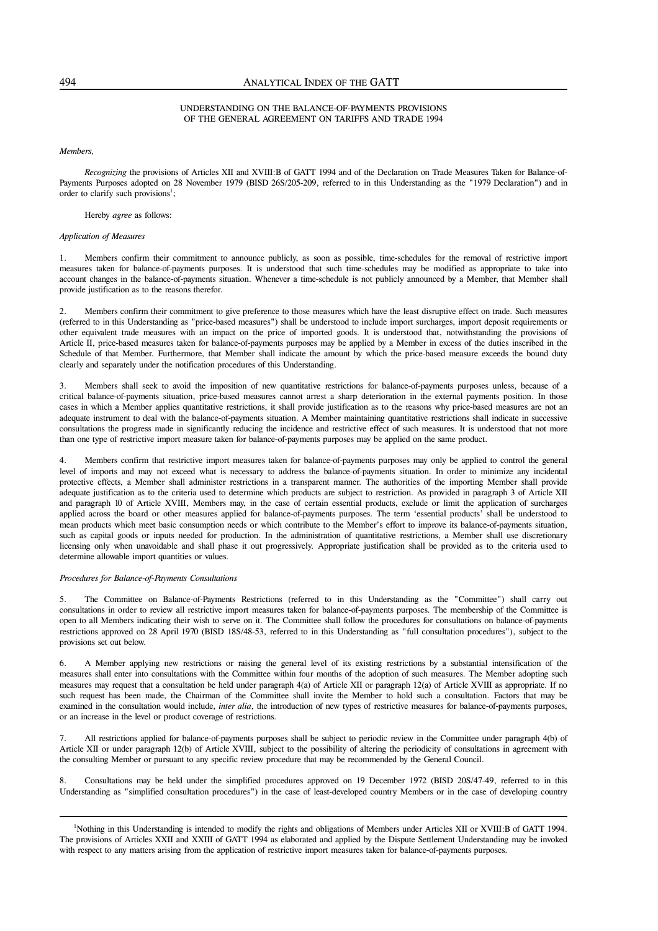### UNDERSTANDING ON THE BALANCE-OF-PAYMENTS PROVISIONS OF THE GENERAL AGREEMENT ON TARIFFS AND TRADE 1994

*Members,*

 *Recognizing* the provisions of Articles XII and XVIII:B of GATT 1994 and of the Declaration on Trade Measures Taken for Balance-of-Payments Purposes adopted on 28 November 1979 (BISD 26S/205-209, referred to in this Understanding as the "1979 Declaration") and in order to clarify such provisions<sup>1</sup>;

Hereby *agree* as follows:

### *Application of Measures*

1. Members confirm their commitment to announce publicly, as soon as possible, time-schedules for the removal of restrictive import measures taken for balance-of-payments purposes. It is understood that such time-schedules may be modified as appropriate to take into account changes in the balance-of-payments situation. Whenever a time-schedule is not publicly announced by a Member, that Member shall provide justification as to the reasons therefor.

2. Members confirm their commitment to give preference to those measures which have the least disruptive effect on trade. Such measures (referred to in this Understanding as "price-based measures") shall be understood to include import surcharges, import deposit requirements or other equivalent trade measures with an impact on the price of imported goods. It is understood that, notwithstanding the provisions of Article II, price-based measures taken for balance-of-payments purposes may be applied by a Member in excess of the duties inscribed in the Schedule of that Member. Furthermore, that Member shall indicate the amount by which the price-based measure exceeds the bound duty clearly and separately under the notification procedures of this Understanding.

3. Members shall seek to avoid the imposition of new quantitative restrictions for balance-of-payments purposes unless, because of a critical balance-of-payments situation, price-based measures cannot arrest a sharp deterioration in the external payments position. In those cases in which a Member applies quantitative restrictions, it shall provide justification as to the reasons why price-based measures are not an adequate instrument to deal with the balance-of-payments situation. A Member maintaining quantitative restrictions shall indicate in successive consultations the progress made in significantly reducing the incidence and restrictive effect of such measures. It is understood that not more than one type of restrictive import measure taken for balance-of-payments purposes may be applied on the same product.

4. Members confirm that restrictive import measures taken for balance-of-payments purposes may only be applied to control the general level of imports and may not exceed what is necessary to address the balance-of-payments situation. In order to minimize any incidental protective effects, a Member shall administer restrictions in a transparent manner. The authorities of the importing Member shall provide adequate justification as to the criteria used to determine which products are subject to restriction. As provided in paragraph 3 of Article XII and paragraph 10 of Article XVIII, Members may, in the case of certain essential products, exclude or limit the application of surcharges applied across the board or other measures applied for balance-of-payments purposes. The term 'essential products' shall be understood to mean products which meet basic consumption needs or which contribute to the Member's effort to improve its balance-of-payments situation, such as capital goods or inputs needed for production. In the administration of quantitative restrictions, a Member shall use discretionary licensing only when unavoidable and shall phase it out progressively. Appropriate justification shall be provided as to the criteria used to determine allowable import quantities or values.

# *Procedures for Balance-of-Payments Consultations*

-

5. The Committee on Balance-of-Payments Restrictions (referred to in this Understanding as the "Committee") shall carry out consultations in order to review all restrictive import measures taken for balance-of-payments purposes. The membership of the Committee is open to all Members indicating their wish to serve on it. The Committee shall follow the procedures for consultations on balance-of-payments restrictions approved on 28 April 1970 (BISD 18S/48-53, referred to in this Understanding as "full consultation procedures"), subject to the provisions set out below.

6. A Member applying new restrictions or raising the general level of its existing restrictions by a substantial intensification of the measures shall enter into consultations with the Committee within four months of the adoption of such measures. The Member adopting such measures may request that a consultation be held under paragraph 4(a) of Article XII or paragraph 12(a) of Article XVIII as appropriate. If no such request has been made, the Chairman of the Committee shall invite the Member to hold such a consultation. Factors that may be examined in the consultation would include, *inter alia*, the introduction of new types of restrictive measures for balance-of-payments purposes, or an increase in the level or product coverage of restrictions.

7. All restrictions applied for balance-of-payments purposes shall be subject to periodic review in the Committee under paragraph 4(b) of Article XII or under paragraph 12(b) of Article XVIII, subject to the possibility of altering the periodicity of consultations in agreement with the consulting Member or pursuant to any specific review procedure that may be recommended by the General Council.

8. Consultations may be held under the simplified procedures approved on 19 December 1972 (BISD 20S/47-49, referred to in this Understanding as "simplified consultation procedures") in the case of least-developed country Members or in the case of developing country

<sup>1</sup> Nothing in this Understanding is intended to modify the rights and obligations of Members under Articles XII or XVIII:B of GATT 1994. The provisions of Articles XXII and XXIII of GATT 1994 as elaborated and applied by the Dispute Settlement Understanding may be invoked with respect to any matters arising from the application of restrictive import measures taken for balance-of-payments purposes.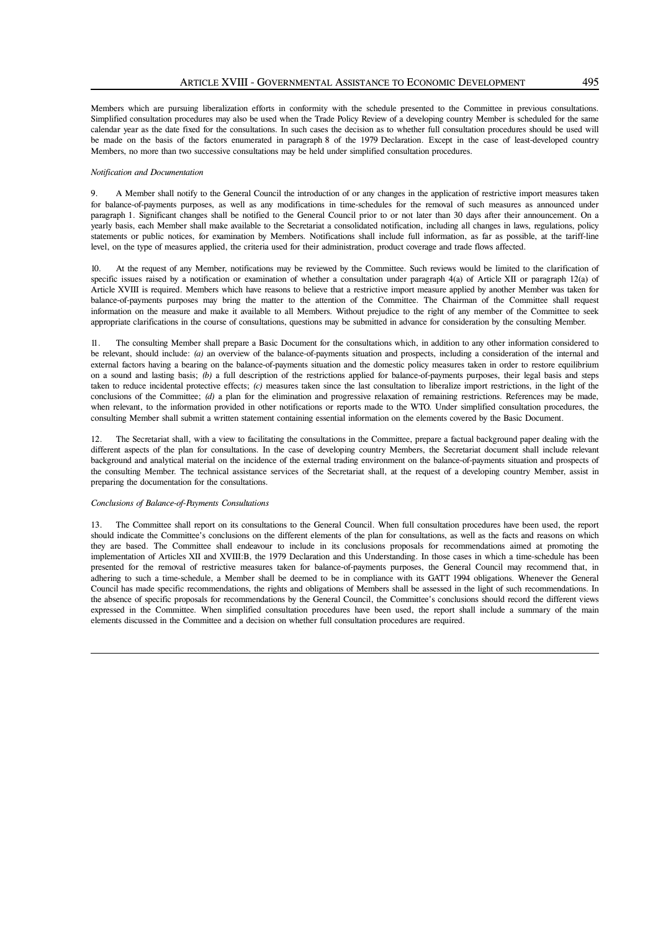Members which are pursuing liberalization efforts in conformity with the schedule presented to the Committee in previous consultations. Simplified consultation procedures may also be used when the Trade Policy Review of a developing country Member is scheduled for the same calendar year as the date fixed for the consultations. In such cases the decision as to whether full consultation procedures should be used will be made on the basis of the factors enumerated in paragraph 8 of the 1979 Declaration. Except in the case of least-developed country Members, no more than two successive consultations may be held under simplified consultation procedures.

#### *Notification and Documentation*

9. A Member shall notify to the General Council the introduction of or any changes in the application of restrictive import measures taken for balance-of-payments purposes, as well as any modifications in time-schedules for the removal of such measures as announced under paragraph 1. Significant changes shall be notified to the General Council prior to or not later than 30 days after their announcement. On a yearly basis, each Member shall make available to the Secretariat a consolidated notification, including all changes in laws, regulations, policy statements or public notices, for examination by Members. Notifications shall include full information, as far as possible, at the tariff-line level, on the type of measures applied, the criteria used for their administration, product coverage and trade flows affected.

10. At the request of any Member, notifications may be reviewed by the Committee. Such reviews would be limited to the clarification of specific issues raised by a notification or examination of whether a consultation under paragraph 4(a) of Article XII or paragraph 12(a) of Article XVIII is required. Members which have reasons to believe that a restrictive import measure applied by another Member was taken for balance-of-payments purposes may bring the matter to the attention of the Committee. The Chairman of the Committee shall request information on the measure and make it available to all Members. Without prejudice to the right of any member of the Committee to seek appropriate clarifications in the course of consultations, questions may be submitted in advance for consideration by the consulting Member.

11. The consulting Member shall prepare a Basic Document for the consultations which, in addition to any other information considered to be relevant, should include: *(a)* an overview of the balance-of-payments situation and prospects, including a consideration of the internal and external factors having a bearing on the balance-of-payments situation and the domestic policy measures taken in order to restore equilibrium on a sound and lasting basis; *(b)* a full description of the restrictions applied for balance-of-payments purposes, their legal basis and steps taken to reduce incidental protective effects; *(c)* measures taken since the last consultation to liberalize import restrictions, in the light of the conclusions of the Committee; *(d)* a plan for the elimination and progressive relaxation of remaining restrictions. References may be made, when relevant, to the information provided in other notifications or reports made to the WTO. Under simplified consultation procedures, the consulting Member shall submit a written statement containing essential information on the elements covered by the Basic Document.

12. The Secretariat shall, with a view to facilitating the consultations in the Committee, prepare a factual background paper dealing with the different aspects of the plan for consultations. In the case of developing country Members, the Secretariat document shall include relevant background and analytical material on the incidence of the external trading environment on the balance-of-payments situation and prospects of the consulting Member. The technical assistance services of the Secretariat shall, at the request of a developing country Member, assist in preparing the documentation for the consultations.

### *Conclusions of Balance-of-Payments Consultations*

13. The Committee shall report on its consultations to the General Council. When full consultation procedures have been used, the report should indicate the Committee's conclusions on the different elements of the plan for consultations, as well as the facts and reasons on which they are based. The Committee shall endeavour to include in its conclusions proposals for recommendations aimed at promoting the implementation of Articles XII and XVIII:B, the 1979 Declaration and this Understanding. In those cases in which a time-schedule has been presented for the removal of restrictive measures taken for balance-of-payments purposes, the General Council may recommend that, in adhering to such a time-schedule, a Member shall be deemed to be in compliance with its GATT 1994 obligations. Whenever the General Council has made specific recommendations, the rights and obligations of Members shall be assessed in the light of such recommendations. In the absence of specific proposals for recommendations by the General Council, the Committee's conclusions should record the different views expressed in the Committee. When simplified consultation procedures have been used, the report shall include a summary of the main elements discussed in the Committee and a decision on whether full consultation procedures are required.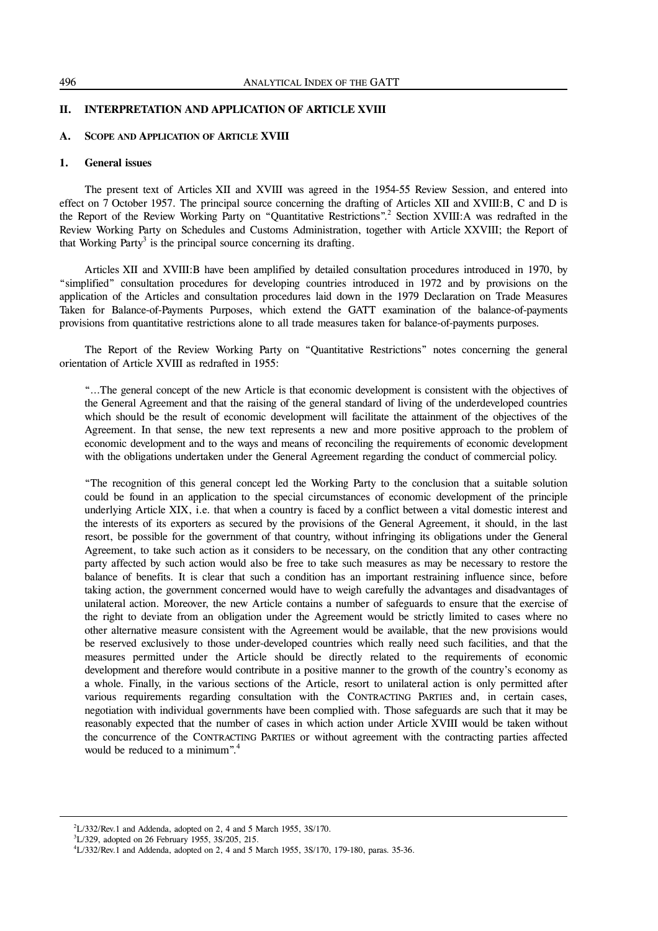# **II. INTERPRETATION AND APPLICATION OF ARTICLE XVIII**

# **A. SCOPE AND APPLICATION OF ARTICLE XVIII**

# **1. General issues**

 The present text of Articles XII and XVIII was agreed in the 1954-55 Review Session, and entered into effect on 7 October 1957. The principal source concerning the drafting of Articles XII and XVIII:B, C and D is the Report of the Review Working Party on "Quantitative Restrictions".<sup>2</sup> Section XVIII:A was redrafted in the Review Working Party on Schedules and Customs Administration, together with Article XXVIII; the Report of that Working Party<sup>3</sup> is the principal source concerning its drafting.

 Articles XII and XVIII:B have been amplified by detailed consultation procedures introduced in 1970, by "simplified" consultation procedures for developing countries introduced in 1972 and by provisions on the application of the Articles and consultation procedures laid down in the 1979 Declaration on Trade Measures Taken for Balance-of-Payments Purposes, which extend the GATT examination of the balance-of-payments provisions from quantitative restrictions alone to all trade measures taken for balance-of-payments purposes.

 The Report of the Review Working Party on "Quantitative Restrictions" notes concerning the general orientation of Article XVIII as redrafted in 1955:

 "…The general concept of the new Article is that economic development is consistent with the objectives of the General Agreement and that the raising of the general standard of living of the underdeveloped countries which should be the result of economic development will facilitate the attainment of the objectives of the Agreement. In that sense, the new text represents a new and more positive approach to the problem of economic development and to the ways and means of reconciling the requirements of economic development with the obligations undertaken under the General Agreement regarding the conduct of commercial policy.

 "The recognition of this general concept led the Working Party to the conclusion that a suitable solution could be found in an application to the special circumstances of economic development of the principle underlying Article XIX, i.e. that when a country is faced by a conflict between a vital domestic interest and the interests of its exporters as secured by the provisions of the General Agreement, it should, in the last resort, be possible for the government of that country, without infringing its obligations under the General Agreement, to take such action as it considers to be necessary, on the condition that any other contracting party affected by such action would also be free to take such measures as may be necessary to restore the balance of benefits. It is clear that such a condition has an important restraining influence since, before taking action, the government concerned would have to weigh carefully the advantages and disadvantages of unilateral action. Moreover, the new Article contains a number of safeguards to ensure that the exercise of the right to deviate from an obligation under the Agreement would be strictly limited to cases where no other alternative measure consistent with the Agreement would be available, that the new provisions would be reserved exclusively to those under-developed countries which really need such facilities, and that the measures permitted under the Article should be directly related to the requirements of economic development and therefore would contribute in a positive manner to the growth of the country's economy as a whole. Finally, in the various sections of the Article, resort to unilateral action is only permitted after various requirements regarding consultation with the CONTRACTING PARTIES and, in certain cases, negotiation with individual governments have been complied with. Those safeguards are such that it may be reasonably expected that the number of cases in which action under Article XVIII would be taken without the concurrence of the CONTRACTING PARTIES or without agreement with the contracting parties affected would be reduced to a minimum".<sup>4</sup>

-

 $2L/332$ /Rev.1 and Addenda, adopted on 2, 4 and 5 March 1955, 3S/170.

<sup>&</sup>lt;sup>3</sup>L/329, adopted on 26 February 1955, 3S/205, 215.

<sup>4</sup> L/332/Rev.1 and Addenda, adopted on 2, 4 and 5 March 1955, 3S/170, 179-180, paras. 35-36.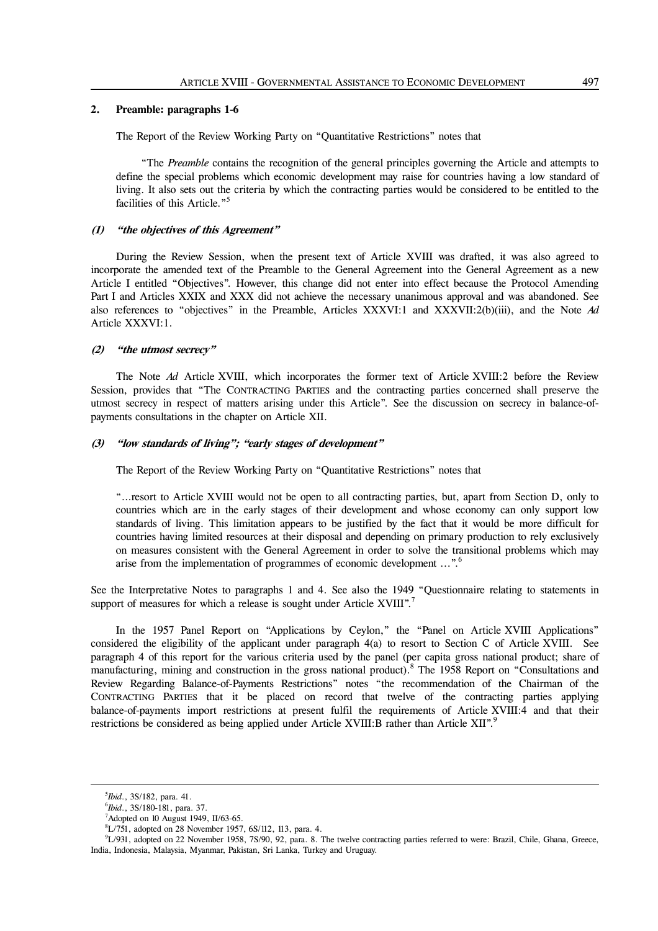# **2. Preamble: paragraphs 1-6**

The Report of the Review Working Party on "Quantitative Restrictions" notes that

 "The *Preamble* contains the recognition of the general principles governing the Article and attempts to define the special problems which economic development may raise for countries having a low standard of living. It also sets out the criteria by which the contracting parties would be considered to be entitled to the facilities of this Article."5

# **(1) "the objectives of this Agreement"**

 During the Review Session, when the present text of Article XVIII was drafted, it was also agreed to incorporate the amended text of the Preamble to the General Agreement into the General Agreement as a new Article I entitled "Objectives". However, this change did not enter into effect because the Protocol Amending Part I and Articles XXIX and XXX did not achieve the necessary unanimous approval and was abandoned. See also references to "objectives" in the Preamble, Articles XXXVI:1 and XXXVII:2(b)(iii), and the Note *Ad*  Article XXXVI:1.

### **(2) "the utmost secrecy"**

 The Note *Ad* Article XVIII, which incorporates the former text of Article XVIII:2 before the Review Session, provides that "The CONTRACTING PARTIES and the contracting parties concerned shall preserve the utmost secrecy in respect of matters arising under this Article". See the discussion on secrecy in balance-ofpayments consultations in the chapter on Article XII.

# **(3) "low standards of living"; "early stages of development"**

The Report of the Review Working Party on "Quantitative Restrictions" notes that

 "…resort to Article XVIII would not be open to all contracting parties, but, apart from Section D, only to countries which are in the early stages of their development and whose economy can only support low standards of living. This limitation appears to be justified by the fact that it would be more difficult for countries having limited resources at their disposal and depending on primary production to rely exclusively on measures consistent with the General Agreement in order to solve the transitional problems which may arise from the implementation of programmes of economic development ...".6

See the Interpretative Notes to paragraphs 1 and 4. See also the 1949 "Questionnaire relating to statements in support of measures for which a release is sought under Article  $XVIII$ ".<sup>7</sup>

 In the 1957 Panel Report on "Applications by Ceylon," the "Panel on Article XVIII Applications" considered the eligibility of the applicant under paragraph 4(a) to resort to Section C of Article XVIII. See paragraph 4 of this report for the various criteria used by the panel (per capita gross national product; share of manufacturing, mining and construction in the gross national product).<sup>8</sup> The 1958 Report on "Consultations and Review Regarding Balance-of-Payments Restrictions" notes "the recommendation of the Chairman of the CONTRACTING PARTIES that it be placed on record that twelve of the contracting parties applying balance-of-payments import restrictions at present fulfil the requirements of Article XVIII:4 and that their restrictions be considered as being applied under Article XVIII:B rather than Article XII".<sup>9</sup>

<sup>5</sup> *Ibid*., 3S/182, para. 41.

<sup>6</sup> *Ibid*., 3S/180-181, para. 37.

<sup>&</sup>lt;sup>7</sup>Adopted on 10 August 1949, II/63-65.

<sup>8</sup> L/751, adopted on 28 November 1957, 6S/112, 113, para. 4.

<sup>9</sup> L/931, adopted on 22 November 1958, 7S/90, 92, para. 8. The twelve contracting parties referred to were: Brazil, Chile, Ghana, Greece, India, Indonesia, Malaysia, Myanmar, Pakistan, Sri Lanka, Turkey and Uruguay.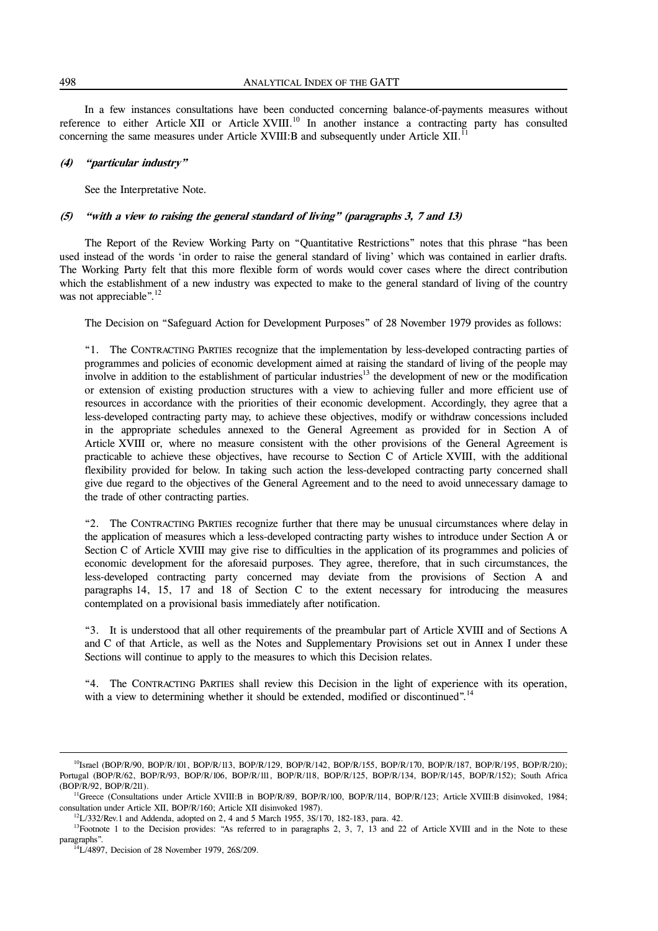In a few instances consultations have been conducted concerning balance-of-payments measures without reference to either Article XII or Article XVIII.<sup>10</sup> In another instance a contracting party has consulted concerning the same measures under Article XVIII:B and subsequently under Article XII.

### **(4) "particular industry"**

See the Interpretative Note.

# **(5) "with a view to raising the general standard of living" (paragraphs 3, 7 and 13)**

 The Report of the Review Working Party on "Quantitative Restrictions" notes that this phrase "has been used instead of the words 'in order to raise the general standard of living' which was contained in earlier drafts. The Working Party felt that this more flexible form of words would cover cases where the direct contribution which the establishment of a new industry was expected to make to the general standard of living of the country was not appreciable".<sup>12</sup>

The Decision on "Safeguard Action for Development Purposes" of 28 November 1979 provides as follows:

 "1. The CONTRACTING PARTIES recognize that the implementation by less-developed contracting parties of programmes and policies of economic development aimed at raising the standard of living of the people may involve in addition to the establishment of particular industries<sup>13</sup> the development of new or the modification or extension of existing production structures with a view to achieving fuller and more efficient use of resources in accordance with the priorities of their economic development. Accordingly, they agree that a less-developed contracting party may, to achieve these objectives, modify or withdraw concessions included in the appropriate schedules annexed to the General Agreement as provided for in Section A of Article XVIII or, where no measure consistent with the other provisions of the General Agreement is practicable to achieve these objectives, have recourse to Section C of Article XVIII, with the additional flexibility provided for below. In taking such action the less-developed contracting party concerned shall give due regard to the objectives of the General Agreement and to the need to avoid unnecessary damage to the trade of other contracting parties.

 "2. The CONTRACTING PARTIES recognize further that there may be unusual circumstances where delay in the application of measures which a less-developed contracting party wishes to introduce under Section A or Section C of Article XVIII may give rise to difficulties in the application of its programmes and policies of economic development for the aforesaid purposes. They agree, therefore, that in such circumstances, the less-developed contracting party concerned may deviate from the provisions of Section A and paragraphs 14, 15, 17 and 18 of Section C to the extent necessary for introducing the measures contemplated on a provisional basis immediately after notification.

 "3. It is understood that all other requirements of the preambular part of Article XVIII and of Sections A and C of that Article, as well as the Notes and Supplementary Provisions set out in Annex I under these Sections will continue to apply to the measures to which this Decision relates.

 "4. The CONTRACTING PARTIES shall review this Decision in the light of experience with its operation, with a view to determining whether it should be extended, modified or discontinued".<sup>14</sup>

<u>.</u>

<sup>10</sup>Israel (BOP/R/90, BOP/R/101, BOP/R/113, BOP/R/129, BOP/R/142, BOP/R/155, BOP/R/170, BOP/R/187, BOP/R/195, BOP/R/210); Portugal (BOP/R/62, BOP/R/93, BOP/R/106, BOP/R/111, BOP/R/118, BOP/R/125, BOP/R/134, BOP/R/145, BOP/R/152); South Africa (BOP/R/92, BOP/R/211).

<sup>&</sup>lt;sup>11</sup>Greece (Consultations under Article XVIII:B in BOP/R/89, BOP/R/100, BOP/R/114, BOP/R/123; Article XVIII:B disinvoked, 1984; consultation under Article XII, BOP/R/160; Article XII disinvoked 1987).

 $12L/332$ /Rev.1 and Addenda, adopted on 2, 4 and 5 March 1955, 3S/170, 182-183, para. 42.

<sup>&</sup>lt;sup>13</sup>Footnote 1 to the Decision provides: "As referred to in paragraphs 2, 3, 7, 13 and 22 of Article XVIII and in the Note to these paragraphs".

 $^{14}$ L/4897, Decision of 28 November 1979, 26S/209.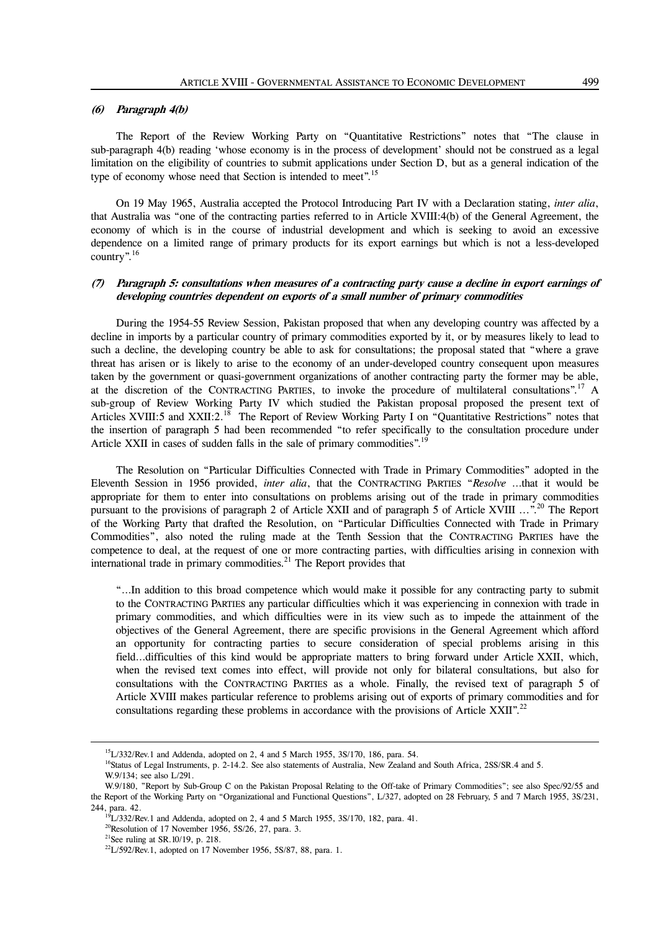# **(6) Paragraph 4(b)**

 The Report of the Review Working Party on "Quantitative Restrictions" notes that "The clause in sub-paragraph 4(b) reading 'whose economy is in the process of development' should not be construed as a legal limitation on the eligibility of countries to submit applications under Section D, but as a general indication of the type of economy whose need that Section is intended to meet".<sup>15</sup>

 On 19 May 1965, Australia accepted the Protocol Introducing Part IV with a Declaration stating, *inter alia*, that Australia was "one of the contracting parties referred to in Article XVIII:4(b) of the General Agreement, the economy of which is in the course of industrial development and which is seeking to avoid an excessive dependence on a limited range of primary products for its export earnings but which is not a less-developed country".16

# **(7) Paragraph 5: consultations when measures of a contracting party cause a decline in export earnings of developing countries dependent on exports of a small number of primary commodities**

 During the 1954-55 Review Session, Pakistan proposed that when any developing country was affected by a decline in imports by a particular country of primary commodities exported by it, or by measures likely to lead to such a decline, the developing country be able to ask for consultations; the proposal stated that "where a grave threat has arisen or is likely to arise to the economy of an under-developed country consequent upon measures taken by the government or quasi-government organizations of another contracting party the former may be able, at the discretion of the CONTRACTING PARTIES, to invoke the procedure of multilateral consultations".<sup>17</sup> A sub-group of Review Working Party IV which studied the Pakistan proposal proposed the present text of Articles XVIII:5 and XXII:2.<sup>18</sup> The Report of Review Working Party I on "Quantitative Restrictions" notes that the insertion of paragraph 5 had been recommended "to refer specifically to the consultation procedure under Article XXII in cases of sudden falls in the sale of primary commodities".<sup>19</sup>

 The Resolution on "Particular Difficulties Connected with Trade in Primary Commodities" adopted in the Eleventh Session in 1956 provided, *inter alia*, that the CONTRACTING PARTIES "*Resolve* …that it would be appropriate for them to enter into consultations on problems arising out of the trade in primary commodities pursuant to the provisions of paragraph 2 of Article XXII and of paragraph 5 of Article XVIII ...".20 The Report of the Working Party that drafted the Resolution, on "Particular Difficulties Connected with Trade in Primary Commodities", also noted the ruling made at the Tenth Session that the CONTRACTING PARTIES have the competence to deal, at the request of one or more contracting parties, with difficulties arising in connexion with international trade in primary commodities. $^{21}$  The Report provides that

 "…In addition to this broad competence which would make it possible for any contracting party to submit to the CONTRACTING PARTIES any particular difficulties which it was experiencing in connexion with trade in primary commodities, and which difficulties were in its view such as to impede the attainment of the objectives of the General Agreement, there are specific provisions in the General Agreement which afford an opportunity for contracting parties to secure consideration of special problems arising in this field…difficulties of this kind would be appropriate matters to bring forward under Article XXII, which, when the revised text comes into effect, will provide not only for bilateral consultations, but also for consultations with the CONTRACTING PARTIES as a whole. Finally, the revised text of paragraph 5 of Article XVIII makes particular reference to problems arising out of exports of primary commodities and for consultations regarding these problems in accordance with the provisions of Article XXII".<sup>22</sup>

 $15L/332/$ Rev.1 and Addenda, adopted on 2, 4 and 5 March 1955, 3S/170, 186, para. 54.

<sup>&</sup>lt;sup>16</sup>Status of Legal Instruments, p. 2-14.2. See also statements of Australia, New Zealand and South Africa, 2SS/SR.4 and 5. W.9/134; see also L/291.

W.9/180, "Report by Sub-Group C on the Pakistan Proposal Relating to the Off-take of Primary Commodities"; see also Spec/92/55 and the Report of the Working Party on "Organizational and Functional Questions", L/327, adopted on 28 February, 5 and 7 March 1955, 3S/231, 244, para. 42.

 $19L/332/$ Rev.1 and Addenda, adopted on 2, 4 and 5 March 1955, 3S/170, 182, para. 41.

<sup>&</sup>lt;sup>20</sup>Resolution of 17 November 1956, 5S/26, 27, para. 3.

<sup>&</sup>lt;sup>21</sup>See ruling at SR.10/19, p. 218.

 $^{22}$ L/592/Rev.1, adopted on 17 November 1956, 5S/87, 88, para. 1.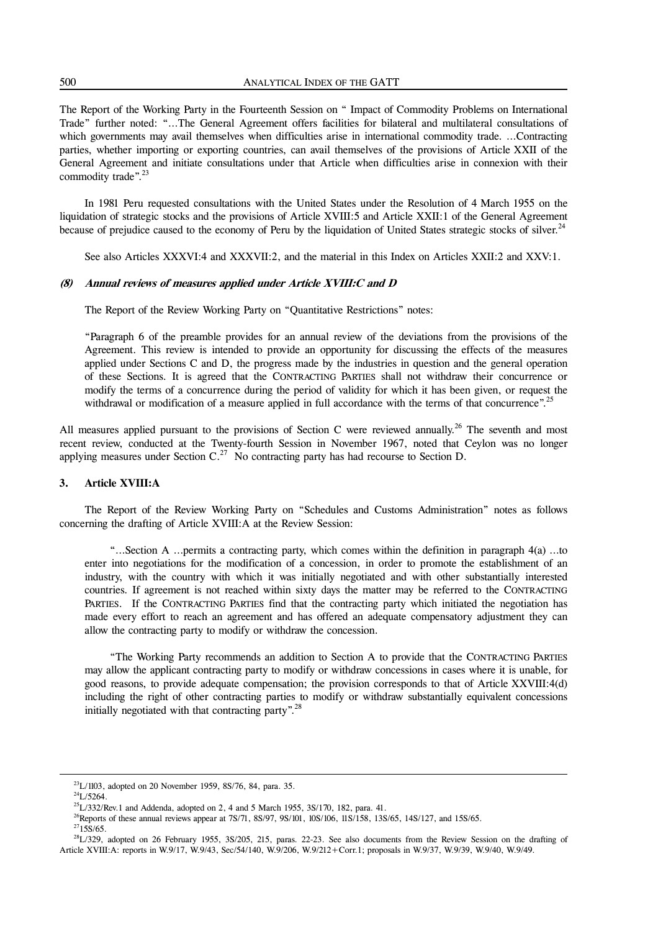The Report of the Working Party in the Fourteenth Session on " Impact of Commodity Problems on International Trade" further noted: "…The General Agreement offers facilities for bilateral and multilateral consultations of which governments may avail themselves when difficulties arise in international commodity trade. ...Contracting parties, whether importing or exporting countries, can avail themselves of the provisions of Article XXII of the General Agreement and initiate consultations under that Article when difficulties arise in connexion with their commodity trade".<sup>23</sup>

 In 1981 Peru requested consultations with the United States under the Resolution of 4 March 1955 on the liquidation of strategic stocks and the provisions of Article XVIII:5 and Article XXII:1 of the General Agreement because of prejudice caused to the economy of Peru by the liquidation of United States strategic stocks of silver.<sup>24</sup>

See also Articles XXXVI:4 and XXXVII:2, and the material in this Index on Articles XXII:2 and XXV:1.

# **(8) Annual reviews of measures applied under Article XVIII:C and D**

The Report of the Review Working Party on "Quantitative Restrictions" notes:

 "Paragraph 6 of the preamble provides for an annual review of the deviations from the provisions of the Agreement. This review is intended to provide an opportunity for discussing the effects of the measures applied under Sections C and D, the progress made by the industries in question and the general operation of these Sections. It is agreed that the CONTRACTING PARTIES shall not withdraw their concurrence or modify the terms of a concurrence during the period of validity for which it has been given, or request the withdrawal or modification of a measure applied in full accordance with the terms of that concurrence".<sup>25</sup>

All measures applied pursuant to the provisions of Section C were reviewed annually.<sup>26</sup> The seventh and most recent review, conducted at the Twenty-fourth Session in November 1967, noted that Ceylon was no longer applying measures under Section C.<sup>27</sup> No contracting party has had recourse to Section D.

# **3. Article XVIII:A**

 The Report of the Review Working Party on "Schedules and Customs Administration" notes as follows concerning the drafting of Article XVIII:A at the Review Session:

 "…Section A …permits a contracting party, which comes within the definition in paragraph 4(a) …to enter into negotiations for the modification of a concession, in order to promote the establishment of an industry, with the country with which it was initially negotiated and with other substantially interested countries. If agreement is not reached within sixty days the matter may be referred to the CONTRACTING PARTIES. If the CONTRACTING PARTIES find that the contracting party which initiated the negotiation has made every effort to reach an agreement and has offered an adequate compensatory adjustment they can allow the contracting party to modify or withdraw the concession.

 "The Working Party recommends an addition to Section A to provide that the CONTRACTING PARTIES may allow the applicant contracting party to modify or withdraw concessions in cases where it is unable, for good reasons, to provide adequate compensation; the provision corresponds to that of Article XXVIII:4(d) including the right of other contracting parties to modify or withdraw substantially equivalent concessions initially negotiated with that contracting party".<sup>28</sup>

-

<sup>23</sup>L/1103, adopted on 20 November 1959, 8S/76, 84, para. 35.

 $^{24}L/5264$ .

 $^{25}L/332$ /Rev.1 and Addenda, adopted on 2, 4 and 5 March 1955, 3S/170, 182, para. 41.

<sup>&</sup>lt;sup>26</sup>Reports of these annual reviews appear at 7S/71, 8S/97, 9S/101, 10S/106, 11S/158, 13S/65, 14S/127, and 15S/65.

 $2715S/65$ .

 $28L/329$ , adopted on 26 February 1955, 3S/205, 215, paras. 22-23. See also documents from the Review Session on the drafting of Article XVIII:A: reports in W.9/17, W.9/43, Sec/54/140, W.9/206, W.9/212+Corr.1; proposals in W.9/37, W.9/39, W.9/40, W.9/49.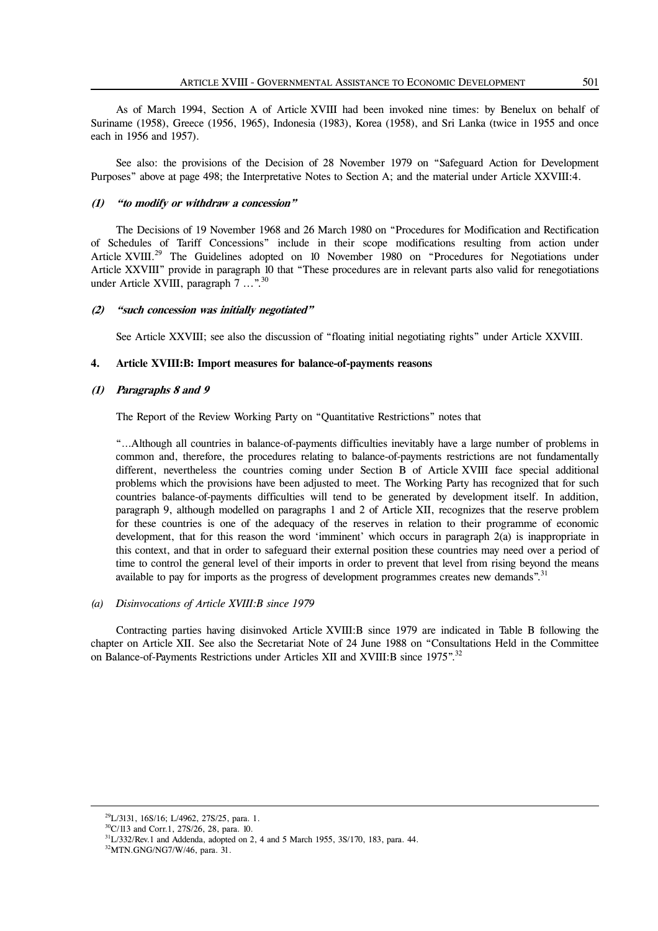As of March 1994, Section A of Article XVIII had been invoked nine times: by Benelux on behalf of Suriname (1958), Greece (1956, 1965), Indonesia (1983), Korea (1958), and Sri Lanka (twice in 1955 and once each in 1956 and 1957).

 See also: the provisions of the Decision of 28 November 1979 on "Safeguard Action for Development Purposes" above at page 498; the Interpretative Notes to Section A; and the material under Article XXVIII:4.

### **(1) "to modify or withdraw a concession"**

 The Decisions of 19 November 1968 and 26 March 1980 on "Procedures for Modification and Rectification of Schedules of Tariff Concessions" include in their scope modifications resulting from action under Article XVIII.<sup>29</sup> The Guidelines adopted on 10 November 1980 on "Procedures for Negotiations under Article XXVIII" provide in paragraph 10 that "These procedures are in relevant parts also valid for renegotiations under Article XVIII, paragraph 7 ...".<sup>30</sup>

# **(2) "such concession was initially negotiated"**

See Article XXVIII; see also the discussion of "floating initial negotiating rights" under Article XXVIII.

# **4. Article XVIII:B: Import measures for balance-of-payments reasons**

### **(1) Paragraphs 8 and 9**

The Report of the Review Working Party on "Quantitative Restrictions" notes that

 "…Although all countries in balance-of-payments difficulties inevitably have a large number of problems in common and, therefore, the procedures relating to balance-of-payments restrictions are not fundamentally different, nevertheless the countries coming under Section B of Article XVIII face special additional problems which the provisions have been adjusted to meet. The Working Party has recognized that for such countries balance-of-payments difficulties will tend to be generated by development itself. In addition, paragraph 9, although modelled on paragraphs 1 and 2 of Article XII, recognizes that the reserve problem for these countries is one of the adequacy of the reserves in relation to their programme of economic development, that for this reason the word 'imminent' which occurs in paragraph 2(a) is inappropriate in this context, and that in order to safeguard their external position these countries may need over a period of time to control the general level of their imports in order to prevent that level from rising beyond the means available to pay for imports as the progress of development programmes creates new demands".<sup>31</sup>

### *(a) Disinvocations of Article XVIII:B since 1979*

 Contracting parties having disinvoked Article XVIII:B since 1979 are indicated in Table B following the chapter on Article XII. See also the Secretariat Note of 24 June 1988 on "Consultations Held in the Committee on Balance-of-Payments Restrictions under Articles XII and XVIII:B since 1975".<sup>32</sup>

<sup>29</sup>L/3131, 16S/16; L/4962, 27S/25, para. 1.

30C/113 and Corr.1, 27S/26, 28, para. 10.

 $31L/332$ /Rev.1 and Addenda, adopted on 2, 4 and 5 March 1955, 3S/170, 183, para. 44.

32MTN.GNG/NG7/W/46, para. 31.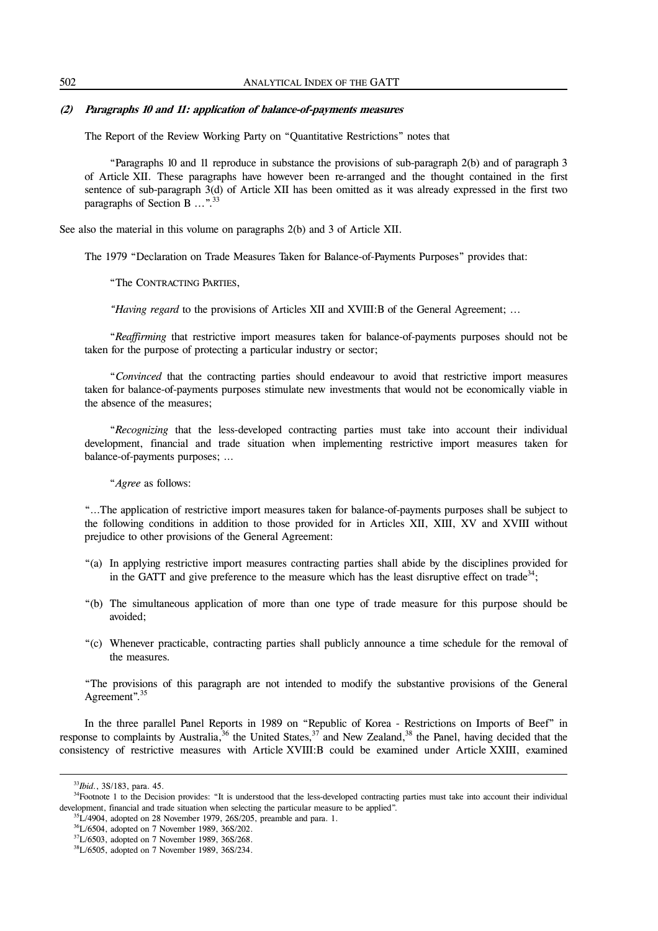# **(2) Paragraphs 10 and 11: application of balance-of-payments measures**

The Report of the Review Working Party on "Quantitative Restrictions" notes that

 "Paragraphs 10 and 11 reproduce in substance the provisions of sub-paragraph 2(b) and of paragraph 3 of Article XII. These paragraphs have however been re-arranged and the thought contained in the first sentence of sub-paragraph 3(d) of Article XII has been omitted as it was already expressed in the first two paragraphs of Section B  $\ldots$ ".<sup>33</sup>

See also the material in this volume on paragraphs 2(b) and 3 of Article XII.

The 1979 "Declaration on Trade Measures Taken for Balance-of-Payments Purposes" provides that:

"The CONTRACTING PARTIES,

 *"Having regard* to the provisions of Articles XII and XVIII:B of the General Agreement; ...

 "*Reaffirming* that restrictive import measures taken for balance-of-payments purposes should not be taken for the purpose of protecting a particular industry or sector;

 "*Convinced* that the contracting parties should endeavour to avoid that restrictive import measures taken for balance-of-payments purposes stimulate new investments that would not be economically viable in the absence of the measures;

 "*Recognizing* that the less-developed contracting parties must take into account their individual development, financial and trade situation when implementing restrictive import measures taken for balance-of-payments purposes; …

"*Agree* as follows:

 "…The application of restrictive import measures taken for balance-of-payments purposes shall be subject to the following conditions in addition to those provided for in Articles XII, XIII, XV and XVIII without prejudice to other provisions of the General Agreement:

- "(a) In applying restrictive import measures contracting parties shall abide by the disciplines provided for in the GATT and give preference to the measure which has the least disruptive effect on trade<sup>34</sup>;
- "(b) The simultaneous application of more than one type of trade measure for this purpose should be avoided;
- "(c) Whenever practicable, contracting parties shall publicly announce a time schedule for the removal of the measures.

 "The provisions of this paragraph are not intended to modify the substantive provisions of the General Agreement".<sup>35</sup>

 In the three parallel Panel Reports in 1989 on "Republic of Korea - Restrictions on Imports of Beef" in response to complaints by Australia,<sup>36</sup> the United States,<sup>37</sup> and New Zealand,<sup>38</sup> the Panel, having decided that the consistency of restrictive measures with Article XVIII:B could be examined under Article XXIII, examined

-

36L/6504, adopted on 7 November 1989, 36S/202.

<sup>33</sup>*Ibid*., 3S/183, para. 45.

<sup>&</sup>lt;sup>34</sup>Footnote 1 to the Decision provides: "It is understood that the less-developed contracting parties must take into account their individual development, financial and trade situation when selecting the particular measure to be applied".

 $^{35}L/4904$ , adopted on 28 November 1979, 26S/205, preamble and para. 1.

37L/6503, adopted on 7 November 1989, 36S/268.

38L/6505, adopted on 7 November 1989, 36S/234.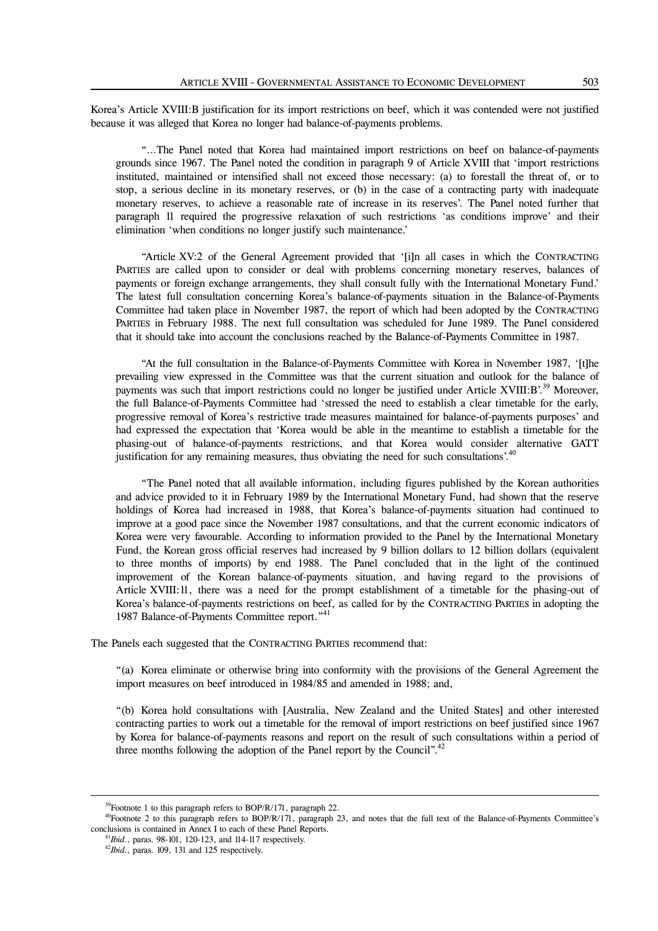Korea's Article XVIII:B justification for its import restrictions on beef, which it was contended were not justified because it was alleged that Korea no longer had balance-of-payments problems.

 "…The Panel noted that Korea had maintained import restrictions on beef on balance-of-payments grounds since 1967. The Panel noted the condition in paragraph 9 of Article XVIII that 'import restrictions instituted, maintained or intensified shall not exceed those necessary: (a) to forestall the threat of, or to stop, a serious decline in its monetary reserves, or (b) in the case of a contracting party with inadequate monetary reserves, to achieve a reasonable rate of increase in its reserves'. The Panel noted further that paragraph 11 required the progressive relaxation of such restrictions 'as conditions improve' and their elimination 'when conditions no longer justify such maintenance.'

 "Article XV:2 of the General Agreement provided that '[i]n all cases in which the CONTRACTING PARTIES are called upon to consider or deal with problems concerning monetary reserves, balances of payments or foreign exchange arrangements, they shall consult fully with the International Monetary Fund.' The latest full consultation concerning Korea's balance-of-payments situation in the Balance-of-Payments Committee had taken place in November 1987, the report of which had been adopted by the CONTRACTING PARTIES in February 1988. The next full consultation was scheduled for June 1989. The Panel considered that it should take into account the conclusions reached by the Balance-of-Payments Committee in 1987.

 "At the full consultation in the Balance-of-Payments Committee with Korea in November 1987, '[t]he prevailing view expressed in the Committee was that the current situation and outlook for the balance of payments was such that import restrictions could no longer be justified under Article XVIII:B'.<sup>39</sup> Moreover, the full Balance-of-Payments Committee had 'stressed the need to establish a clear timetable for the early, progressive removal of Korea's restrictive trade measures maintained for balance-of-payments purposes' and had expressed the expectation that 'Korea would be able in the meantime to establish a timetable for the phasing-out of balance-of-payments restrictions, and that Korea would consider alternative GATT justification for any remaining measures, thus obviating the need for such consultations'.<sup>40</sup>

 "The Panel noted that all available information, including figures published by the Korean authorities and advice provided to it in February 1989 by the International Monetary Fund, had shown that the reserve holdings of Korea had increased in 1988, that Korea's balance-of-payments situation had continued to improve at a good pace since the November 1987 consultations, and that the current economic indicators of Korea were very favourable. According to information provided to the Panel by the International Monetary Fund, the Korean gross official reserves had increased by 9 billion dollars to 12 billion dollars (equivalent to three months of imports) by end 1988. The Panel concluded that in the light of the continued improvement of the Korean balance-of-payments situation, and having regard to the provisions of Article XVIII:11, there was a need for the prompt establishment of a timetable for the phasing-out of Korea's balance-of-payments restrictions on beef, as called for by the CONTRACTING PARTIES in adopting the 1987 Balance-of-Payments Committee report."<sup>41</sup>

The Panels each suggested that the CONTRACTING PARTIES recommend that:

 "(a) Korea eliminate or otherwise bring into conformity with the provisions of the General Agreement the import measures on beef introduced in 1984/85 and amended in 1988; and,

 "(b) Korea hold consultations with [Australia, New Zealand and the United States] and other interested contracting parties to work out a timetable for the removal of import restrictions on beef justified since 1967 by Korea for balance-of-payments reasons and report on the result of such consultations within a period of three months following the adoption of the Panel report by the Council". $42$ 

<sup>41</sup>*Ibid*., paras. 98-101, 120-123, and 114-117 respectively.

 $39$ Footnote 1 to this paragraph refers to BOP/R/171, paragraph 22.

<sup>&</sup>lt;sup>40</sup>Footnote 2 to this paragraph refers to BOP/R/171, paragraph 23, and notes that the full text of the Balance-of-Payments Committee's conclusions is contained in Annex I to each of these Panel Reports.

<sup>&</sup>lt;sup>42</sup>*Ibid.*, paras. 109, 131 and 125 respectively.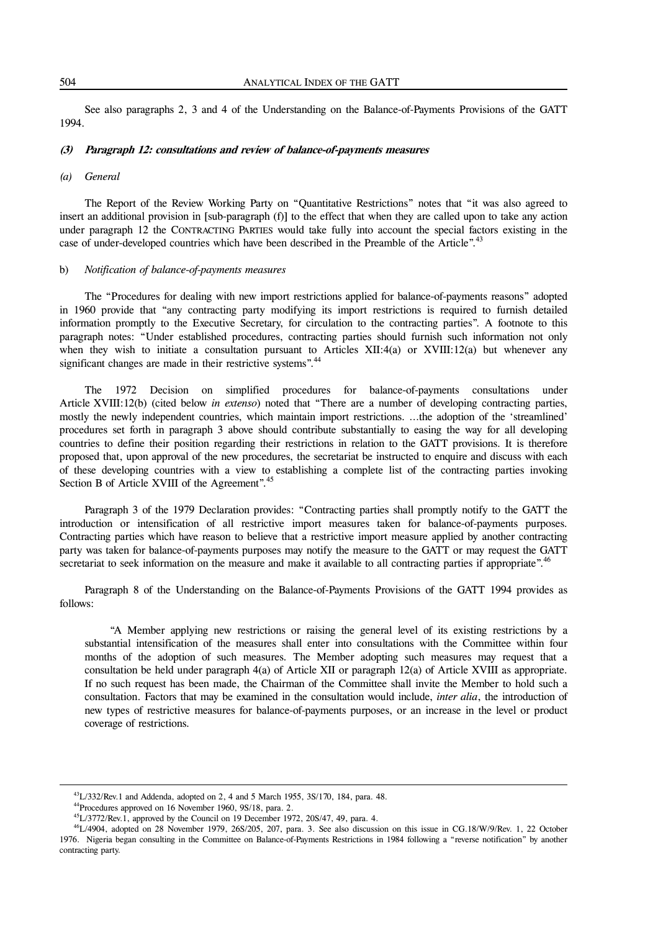See also paragraphs 2, 3 and 4 of the Understanding on the Balance-of-Payments Provisions of the GATT 1994.

### **(3) Paragraph 12: consultations and review of balance-of-payments measures**

# *(a) General*

 The Report of the Review Working Party on "Quantitative Restrictions" notes that "it was also agreed to insert an additional provision in [sub-paragraph (f)] to the effect that when they are called upon to take any action under paragraph 12 the CONTRACTING PARTIES would take fully into account the special factors existing in the case of under-developed countries which have been described in the Preamble of the Article".<sup>43</sup>

# b) *Notification of balance-of-payments measures*

 The "Procedures for dealing with new import restrictions applied for balance-of-payments reasons" adopted in 1960 provide that "any contracting party modifying its import restrictions is required to furnish detailed information promptly to the Executive Secretary, for circulation to the contracting parties". A footnote to this paragraph notes: "Under established procedures, contracting parties should furnish such information not only when they wish to initiate a consultation pursuant to Articles  $XII:4(a)$  or  $XVIII:12(a)$  but whenever any significant changes are made in their restrictive systems".<sup>44</sup>

 The 1972 Decision on simplified procedures for balance-of-payments consultations under Article XVIII:12(b) (cited below *in extenso*) noted that "There are a number of developing contracting parties, mostly the newly independent countries, which maintain import restrictions. …the adoption of the 'streamlined' procedures set forth in paragraph 3 above should contribute substantially to easing the way for all developing countries to define their position regarding their restrictions in relation to the GATT provisions. It is therefore proposed that, upon approval of the new procedures, the secretariat be instructed to enquire and discuss with each of these developing countries with a view to establishing a complete list of the contracting parties invoking Section B of Article XVIII of the Agreement".<sup>45</sup>

 Paragraph 3 of the 1979 Declaration provides: "Contracting parties shall promptly notify to the GATT the introduction or intensification of all restrictive import measures taken for balance-of-payments purposes. Contracting parties which have reason to believe that a restrictive import measure applied by another contracting party was taken for balance-of-payments purposes may notify the measure to the GATT or may request the GATT secretariat to seek information on the measure and make it available to all contracting parties if appropriate".<sup>46</sup>

 Paragraph 8 of the Understanding on the Balance-of-Payments Provisions of the GATT 1994 provides as follows:

 "A Member applying new restrictions or raising the general level of its existing restrictions by a substantial intensification of the measures shall enter into consultations with the Committee within four months of the adoption of such measures. The Member adopting such measures may request that a consultation be held under paragraph 4(a) of Article XII or paragraph 12(a) of Article XVIII as appropriate. If no such request has been made, the Chairman of the Committee shall invite the Member to hold such a consultation. Factors that may be examined in the consultation would include, *inter alia*, the introduction of new types of restrictive measures for balance-of-payments purposes, or an increase in the level or product coverage of restrictions.

-

 $43L/332$ /Rev.1 and Addenda, adopted on 2, 4 and 5 March 1955, 3S/170, 184, para. 48.

44Procedures approved on 16 November 1960, 9S/18, para. 2.

 $^{45}$ L/3772/Rev.1, approved by the Council on 19 December 1972, 20S/47, 49, para. 4.

<sup>&</sup>lt;sup>46</sup>L/4904, adopted on 28 November 1979, 26S/205, 207, para. 3. See also discussion on this issue in CG.18/W/9/Rev. 1, 22 October 1976. Nigeria began consulting in the Committee on Balance-of-Payments Restrictions in 1984 following a "reverse notification" by another contracting party.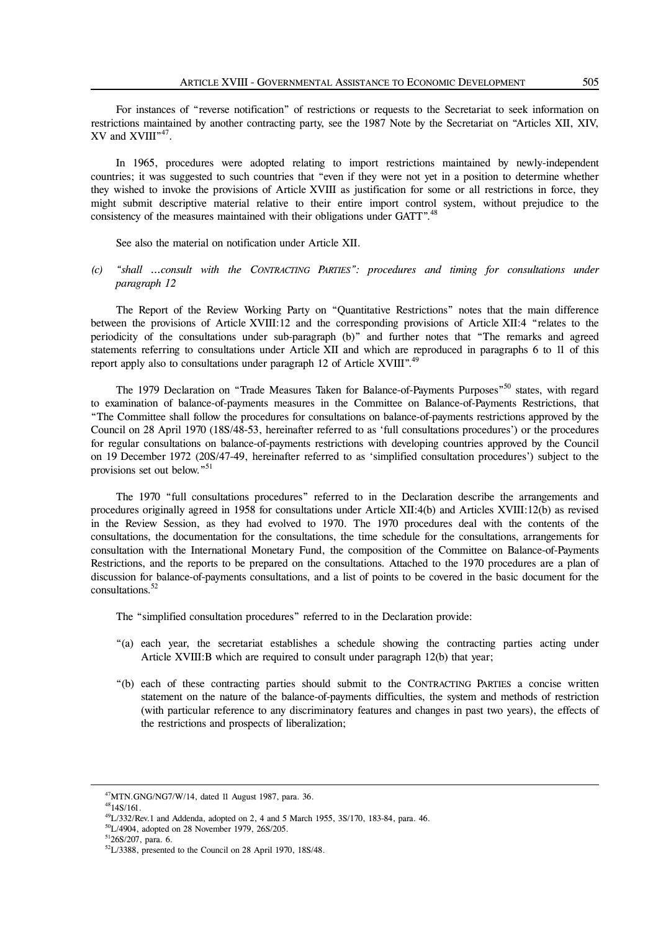For instances of "reverse notification" of restrictions or requests to the Secretariat to seek information on restrictions maintained by another contracting party, see the 1987 Note by the Secretariat on "Articles XII, XIV, XV and XVIII"<sup>47</sup>.

 In 1965, procedures were adopted relating to import restrictions maintained by newly-independent countries; it was suggested to such countries that "even if they were not yet in a position to determine whether they wished to invoke the provisions of Article XVIII as justification for some or all restrictions in force, they might submit descriptive material relative to their entire import control system, without prejudice to the consistency of the measures maintained with their obligations under GATT".<sup>48</sup>

See also the material on notification under Article XII.

*(c) "shall …consult with the CONTRACTING PARTIES": procedures and timing for consultations under paragraph 12*

 The Report of the Review Working Party on "Quantitative Restrictions" notes that the main difference between the provisions of Article XVIII:12 and the corresponding provisions of Article XII:4 "relates to the periodicity of the consultations under sub-paragraph (b)" and further notes that "The remarks and agreed statements referring to consultations under Article XII and which are reproduced in paragraphs 6 to 11 of this report apply also to consultations under paragraph 12 of Article XVIII".<sup>49</sup>

The 1979 Declaration on "Trade Measures Taken for Balance-of-Payments Purposes"<sup>50</sup> states, with regard to examination of balance-of-payments measures in the Committee on Balance-of-Payments Restrictions, that "The Committee shall follow the procedures for consultations on balance-of-payments restrictions approved by the Council on 28 April 1970 (18S/48-53, hereinafter referred to as 'full consultations procedures') or the procedures for regular consultations on balance-of-payments restrictions with developing countries approved by the Council on 19 December 1972 (20S/47-49, hereinafter referred to as 'simplified consultation procedures') subject to the provisions set out below."51

 The 1970 "full consultations procedures" referred to in the Declaration describe the arrangements and procedures originally agreed in 1958 for consultations under Article XII:4(b) and Articles XVIII:12(b) as revised in the Review Session, as they had evolved to 1970. The 1970 procedures deal with the contents of the consultations, the documentation for the consultations, the time schedule for the consultations, arrangements for consultation with the International Monetary Fund, the composition of the Committee on Balance-of-Payments Restrictions, and the reports to be prepared on the consultations. Attached to the 1970 procedures are a plan of discussion for balance-of-payments consultations, and a list of points to be covered in the basic document for the consultations.<sup>52</sup>

The "simplified consultation procedures" referred to in the Declaration provide:

- "(a) each year, the secretariat establishes a schedule showing the contracting parties acting under Article XVIII:B which are required to consult under paragraph 12(b) that year;
- "(b) each of these contracting parties should submit to the CONTRACTING PARTIES a concise written statement on the nature of the balance-of-payments difficulties, the system and methods of restriction (with particular reference to any discriminatory features and changes in past two years), the effects of the restrictions and prospects of liberalization;

 $47$ MTN.GNG/NG7/W/14, dated 11 August 1987, para. 36.

 $4814S/161$ .

 $^{49}L/332$ /Rev.1 and Addenda, adopted on 2, 4 and 5 March 1955, 3S/170, 183-84, para. 46.

50L/4904, adopted on 28 November 1979, 26S/205.

5126S/207, para. 6.

 $52$ L/3388, presented to the Council on 28 April 1970, 18S/48.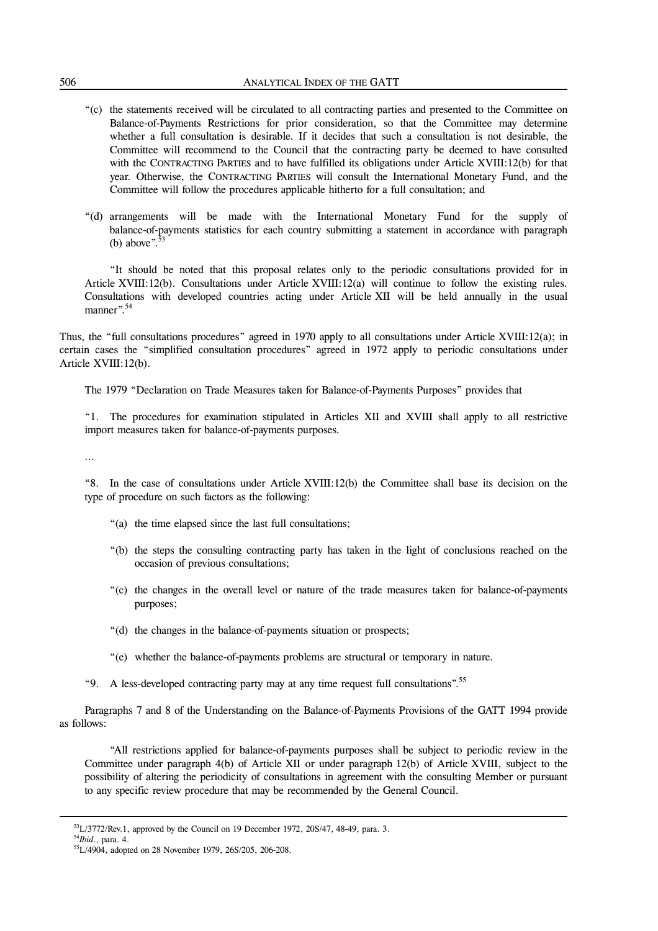- "(c) the statements received will be circulated to all contracting parties and presented to the Committee on Balance-of-Payments Restrictions for prior consideration, so that the Committee may determine whether a full consultation is desirable. If it decides that such a consultation is not desirable, the Committee will recommend to the Council that the contracting party be deemed to have consulted with the CONTRACTING PARTIES and to have fulfilled its obligations under Article XVIII:12(b) for that year. Otherwise, the CONTRACTING PARTIES will consult the International Monetary Fund, and the Committee will follow the procedures applicable hitherto for a full consultation; and
- "(d) arrangements will be made with the International Monetary Fund for the supply of balance-of-payments statistics for each country submitting a statement in accordance with paragraph (b) above". $5$

 "It should be noted that this proposal relates only to the periodic consultations provided for in Article XVIII:12(b). Consultations under Article XVIII:12(a) will continue to follow the existing rules. Consultations with developed countries acting under Article XII will be held annually in the usual manner".<sup>54</sup>

Thus, the "full consultations procedures" agreed in 1970 apply to all consultations under Article XVIII:12(a); in certain cases the "simplified consultation procedures" agreed in 1972 apply to periodic consultations under Article XVIII:12(b).

The 1979 "Declaration on Trade Measures taken for Balance-of-Payments Purposes" provides that

 "1. The procedures for examination stipulated in Articles XII and XVIII shall apply to all restrictive import measures taken for balance-of-payments purposes.

…

 "8. In the case of consultations under Article XVIII:12(b) the Committee shall base its decision on the type of procedure on such factors as the following:

- "(a) the time elapsed since the last full consultations;
- "(b) the steps the consulting contracting party has taken in the light of conclusions reached on the occasion of previous consultations;
- "(c) the changes in the overall level or nature of the trade measures taken for balance-of-payments purposes;
- "(d) the changes in the balance-of-payments situation or prospects;
- "(e) whether the balance-of-payments problems are structural or temporary in nature.
- "9. A less-developed contracting party may at any time request full consultations".55

 Paragraphs 7 and 8 of the Understanding on the Balance-of-Payments Provisions of the GATT 1994 provide as follows:

 "All restrictions applied for balance-of-payments purposes shall be subject to periodic review in the Committee under paragraph 4(b) of Article XII or under paragraph 12(b) of Article XVIII, subject to the possibility of altering the periodicity of consultations in agreement with the consulting Member or pursuant to any specific review procedure that may be recommended by the General Council.

-

<sup>53</sup>L/3772/Rev.1, approved by the Council on 19 December 1972, 20S/47, 48-49, para. 3.

<sup>54</sup>*Ibid*., para. 4.

55L/4904, adopted on 28 November 1979, 26S/205, 206-208.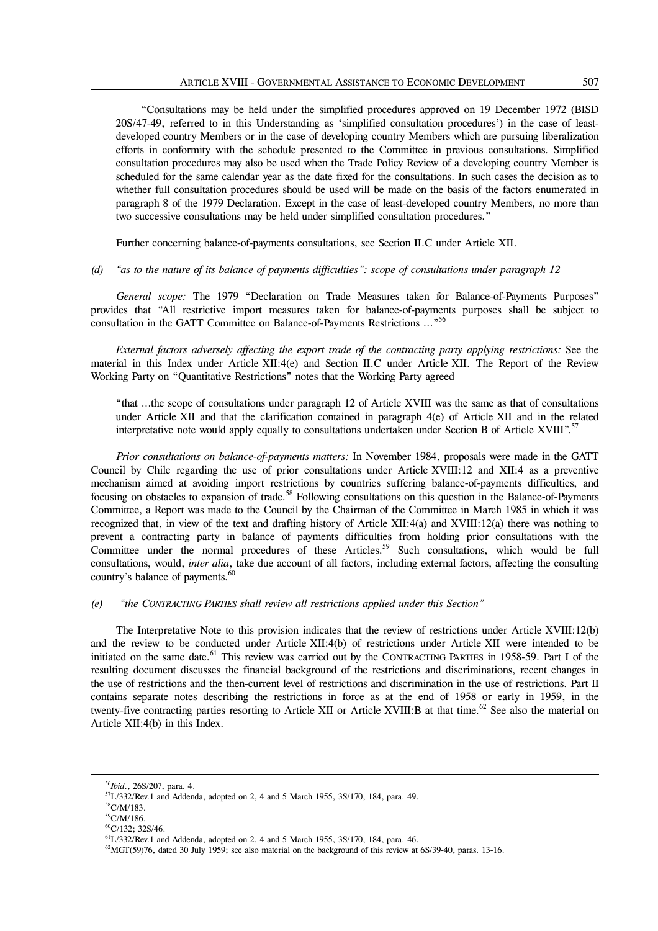"Consultations may be held under the simplified procedures approved on 19 December 1972 (BISD 20S/47-49, referred to in this Understanding as 'simplified consultation procedures') in the case of leastdeveloped country Members or in the case of developing country Members which are pursuing liberalization efforts in conformity with the schedule presented to the Committee in previous consultations. Simplified consultation procedures may also be used when the Trade Policy Review of a developing country Member is scheduled for the same calendar year as the date fixed for the consultations. In such cases the decision as to whether full consultation procedures should be used will be made on the basis of the factors enumerated in paragraph 8 of the 1979 Declaration. Except in the case of least-developed country Members, no more than two successive consultations may be held under simplified consultation procedures."

Further concerning balance-of-payments consultations, see Section II.C under Article XII.

### *(d) "as to the nature of its balance of payments difficulties": scope of consultations under paragraph 12*

 *General scope:* The 1979 "Declaration on Trade Measures taken for Balance-of-Payments Purposes" provides that "All restrictive import measures taken for balance-of-payments purposes shall be subject to consultation in the GATT Committee on Balance-of-Payments Restrictions …"56

 *External factors adversely affecting the export trade of the contracting party applying restrictions:* See the material in this Index under Article XII:4(e) and Section II.C under Article XII. The Report of the Review Working Party on "Quantitative Restrictions" notes that the Working Party agreed

 "that …the scope of consultations under paragraph 12 of Article XVIII was the same as that of consultations under Article XII and that the clarification contained in paragraph 4(e) of Article XII and in the related interpretative note would apply equally to consultations undertaken under Section B of Article XVIII".<sup>57</sup>

 *Prior consultations on balance-of-payments matters:* In November 1984, proposals were made in the GATT Council by Chile regarding the use of prior consultations under Article XVIII:12 and XII:4 as a preventive mechanism aimed at avoiding import restrictions by countries suffering balance-of-payments difficulties, and focusing on obstacles to expansion of trade.<sup>58</sup> Following consultations on this question in the Balance-of-Payments Committee, a Report was made to the Council by the Chairman of the Committee in March 1985 in which it was recognized that, in view of the text and drafting history of Article XII:4(a) and XVIII:12(a) there was nothing to prevent a contracting party in balance of payments difficulties from holding prior consultations with the Committee under the normal procedures of these Articles.<sup>59</sup> Such consultations, which would be full consultations, would, *inter alia*, take due account of all factors, including external factors, affecting the consulting country's balance of payments.<sup>60</sup>

*(e) "the CONTRACTING PARTIES shall review all restrictions applied under this Section"*

 The Interpretative Note to this provision indicates that the review of restrictions under Article XVIII:12(b) and the review to be conducted under Article XII:4(b) of restrictions under Article XII were intended to be initiated on the same date.<sup>61</sup> This review was carried out by the CONTRACTING PARTIES in 1958-59. Part I of the resulting document discusses the financial background of the restrictions and discriminations, recent changes in the use of restrictions and the then-current level of restrictions and discrimination in the use of restrictions. Part II contains separate notes describing the restrictions in force as at the end of 1958 or early in 1959, in the twenty-five contracting parties resorting to Article XII or Article XVIII:B at that time.<sup>62</sup> See also the material on Article XII:4(b) in this Index.

<sup>56</sup>*Ibid*., 26S/207, para. 4.

 ${}^{57}L/332$ /Rev.1 and Addenda, adopted on 2, 4 and 5 March 1955, 3S/170, 184, para. 49.

 ${}^{58}C/M/183$ .

 $59$ C/M/186.

 $60C/132$ ; 32S/46.

 ${}^{61}L/332/R$ ev.1 and Addenda, adopted on 2, 4 and 5 March 1955, 3S/170, 184, para. 46.

 $^{62}$ MGT(59)76, dated 30 July 1959; see also material on the background of this review at 6S/39-40, paras. 13-16.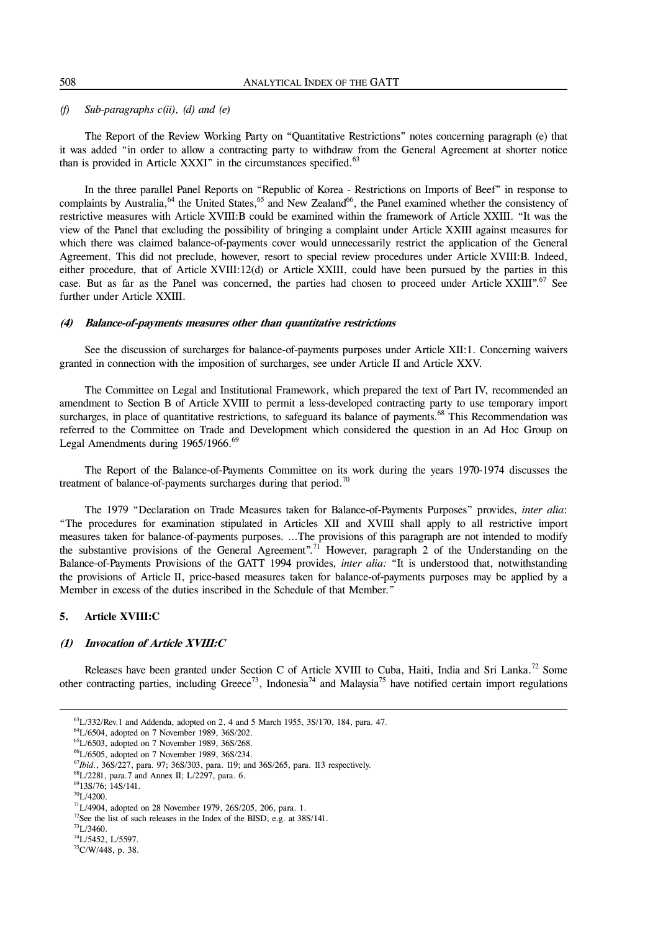# *(f) Sub-paragraphs c(ii), (d) and (e)*

 The Report of the Review Working Party on "Quantitative Restrictions" notes concerning paragraph (e) that it was added "in order to allow a contracting party to withdraw from the General Agreement at shorter notice than is provided in Article XXXI" in the circumstances specified.<sup>63</sup>

 In the three parallel Panel Reports on "Republic of Korea - Restrictions on Imports of Beef" in response to complaints by Australia,<sup>64</sup> the United States,<sup>65</sup> and New Zealand<sup>66</sup>, the Panel examined whether the consistency of restrictive measures with Article XVIII:B could be examined within the framework of Article XXIII. "It was the view of the Panel that excluding the possibility of bringing a complaint under Article XXIII against measures for which there was claimed balance-of-payments cover would unnecessarily restrict the application of the General Agreement. This did not preclude, however, resort to special review procedures under Article XVIII:B. Indeed, either procedure, that of Article XVIII:12(d) or Article XXIII, could have been pursued by the parties in this case. But as far as the Panel was concerned, the parties had chosen to proceed under Article XXIII".<sup>67</sup> See further under Article XXIII.

### **(4) Balance-of-payments measures other than quantitative restrictions**

 See the discussion of surcharges for balance-of-payments purposes under Article XII:1. Concerning waivers granted in connection with the imposition of surcharges, see under Article II and Article XXV.

 The Committee on Legal and Institutional Framework, which prepared the text of Part IV, recommended an amendment to Section B of Article XVIII to permit a less-developed contracting party to use temporary import surcharges, in place of quantitative restrictions, to safeguard its balance of payments.<sup>68</sup> This Recommendation was referred to the Committee on Trade and Development which considered the question in an Ad Hoc Group on Legal Amendments during 1965/1966.<sup>69</sup>

 The Report of the Balance-of-Payments Committee on its work during the years 1970-1974 discusses the treatment of balance-of-payments surcharges during that period.<sup>70</sup>

 The 1979 "Declaration on Trade Measures taken for Balance-of-Payments Purposes" provides, *inter alia*: "The procedures for examination stipulated in Articles XII and XVIII shall apply to all restrictive import measures taken for balance-of-payments purposes. …The provisions of this paragraph are not intended to modify the substantive provisions of the General Agreement".71 However, paragraph 2 of the Understanding on the Balance-of-Payments Provisions of the GATT 1994 provides, *inter alia:* "It is understood that, notwithstanding the provisions of Article II, price-based measures taken for balance-of-payments purposes may be applied by a Member in excess of the duties inscribed in the Schedule of that Member."

# **5. Article XVIII:C**

# **(1) Invocation of Article XVIII:C**

Releases have been granted under Section C of Article XVIII to Cuba, Haiti, India and Sri Lanka.<sup>72</sup> Some other contracting parties, including Greece<sup>73</sup>, Indonesia<sup>74</sup> and Malaysia<sup>75</sup> have notified certain import regulations

<u>.</u>

73L/3460.

 $^{75}$ C/W/448, p. 38.

 $63L/332$ /Rev.1 and Addenda, adopted on 2, 4 and 5 March 1955, 3S/170, 184, para. 47.

64L/6504, adopted on 7 November 1989, 36S/202.

65L/6503, adopted on 7 November 1989, 36S/268.

66L/6505, adopted on 7 November 1989, 36S/234.

<sup>67</sup>*Ibid*., 36S/227, para. 97; 36S/303, para. 119; and 36S/265, para. 113 respectively.

68L/2281, para.7 and Annex II; L/2297, para. 6.

6913S/76; 14S/141.

 $70L/4200$ .

 $71L/4904$ , adopted on 28 November 1979, 26S/205, 206, para. 1.

 $72$ See the list of such releases in the Index of the BISD, e.g. at 38S/141.

74L/5452, L/5597.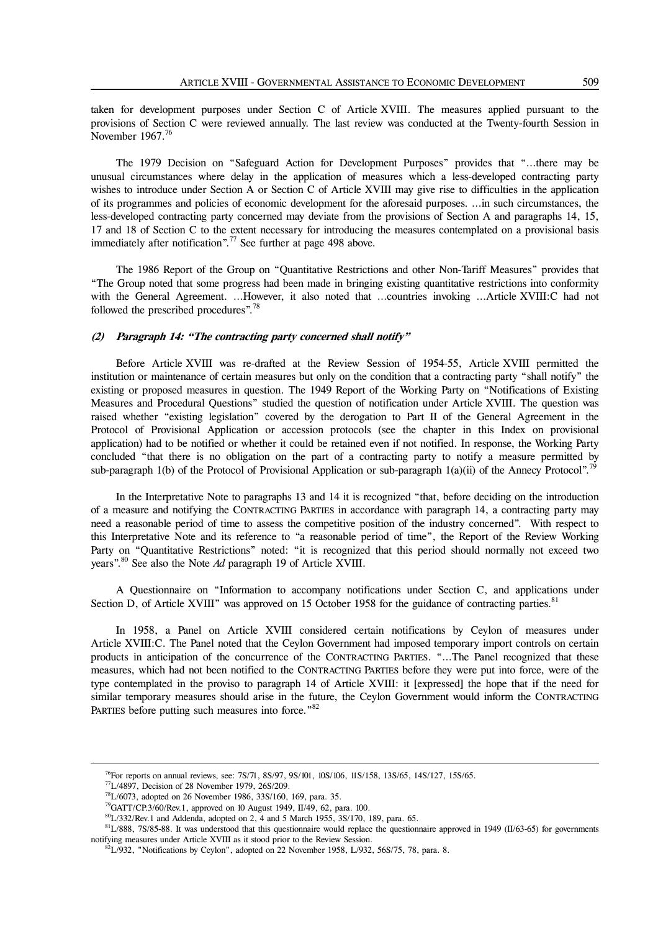taken for development purposes under Section C of Article XVIII. The measures applied pursuant to the provisions of Section C were reviewed annually. The last review was conducted at the Twenty-fourth Session in November 1967.<sup>76</sup>

 The 1979 Decision on "Safeguard Action for Development Purposes" provides that "…there may be unusual circumstances where delay in the application of measures which a less-developed contracting party wishes to introduce under Section A or Section C of Article XVIII may give rise to difficulties in the application of its programmes and policies of economic development for the aforesaid purposes. …in such circumstances, the less-developed contracting party concerned may deviate from the provisions of Section A and paragraphs 14, 15, 17 and 18 of Section C to the extent necessary for introducing the measures contemplated on a provisional basis immediately after notification".<sup>77</sup> See further at page 498 above.

 The 1986 Report of the Group on "Quantitative Restrictions and other Non-Tariff Measures" provides that "The Group noted that some progress had been made in bringing existing quantitative restrictions into conformity with the General Agreement. …However, it also noted that …countries invoking …Article XVIII:C had not followed the prescribed procedures".78

# **(2) Paragraph 14: "The contracting party concerned shall notify"**

 Before Article XVIII was re-drafted at the Review Session of 1954-55, Article XVIII permitted the institution or maintenance of certain measures but only on the condition that a contracting party "shall notify" the existing or proposed measures in question. The 1949 Report of the Working Party on "Notifications of Existing Measures and Procedural Questions" studied the question of notification under Article XVIII. The question was raised whether "existing legislation" covered by the derogation to Part II of the General Agreement in the Protocol of Provisional Application or accession protocols (see the chapter in this Index on provisional application) had to be notified or whether it could be retained even if not notified. In response, the Working Party concluded "that there is no obligation on the part of a contracting party to notify a measure permitted by sub-paragraph 1(b) of the Protocol of Provisional Application or sub-paragraph 1(a)(ii) of the Annecy Protocol".<sup>79</sup>

 In the Interpretative Note to paragraphs 13 and 14 it is recognized "that, before deciding on the introduction of a measure and notifying the CONTRACTING PARTIES in accordance with paragraph 14, a contracting party may need a reasonable period of time to assess the competitive position of the industry concerned". With respect to this Interpretative Note and its reference to "a reasonable period of time", the Report of the Review Working Party on "Quantitative Restrictions" noted: "it is recognized that this period should normally not exceed two years".80 See also the Note *Ad* paragraph 19 of Article XVIII.

 A Questionnaire on "Information to accompany notifications under Section C, and applications under Section D, of Article XVIII" was approved on 15 October 1958 for the guidance of contracting parties.<sup>81</sup>

 In 1958, a Panel on Article XVIII considered certain notifications by Ceylon of measures under Article XVIII:C. The Panel noted that the Ceylon Government had imposed temporary import controls on certain products in anticipation of the concurrence of the CONTRACTING PARTIES. "…The Panel recognized that these measures, which had not been notified to the CONTRACTING PARTIES before they were put into force, were of the type contemplated in the proviso to paragraph 14 of Article XVIII: it [expressed] the hope that if the need for similar temporary measures should arise in the future, the Ceylon Government would inform the CONTRACTING PARTIES before putting such measures into force."<sup>82</sup>

<sup>&</sup>lt;sup>76</sup>For reports on annual reviews, see: 7S/71, 8S/97, 9S/101, 10S/106, 11S/158, 13S/65, 14S/127, 15S/65.

77L/4897, Decision of 28 November 1979, 26S/209.

<sup>&</sup>lt;sup>78</sup>L/6073, adopted on 26 November 1986, 33S/160, 169, para. 35.

 $79$ GATT/CP.3/60/Rev.1, approved on 10 August 1949, II/49, 62, para. 100.

 ${}^{80}L/332$ /Rev.1 and Addenda, adopted on 2, 4 and 5 March 1955, 3S/170, 189, para. 65.

<sup>&</sup>lt;sup>81</sup>L/888, 7S/85-88. It was understood that this questionnaire would replace the questionnaire approved in 1949 (II/63-65) for governments notifying measures under Article XVIII as it stood prior to the Review Session.

 $^{82}$ L/932, "Notifications by Ceylon", adopted on 22 November 1958, L/932, 56S/75, 78, para. 8.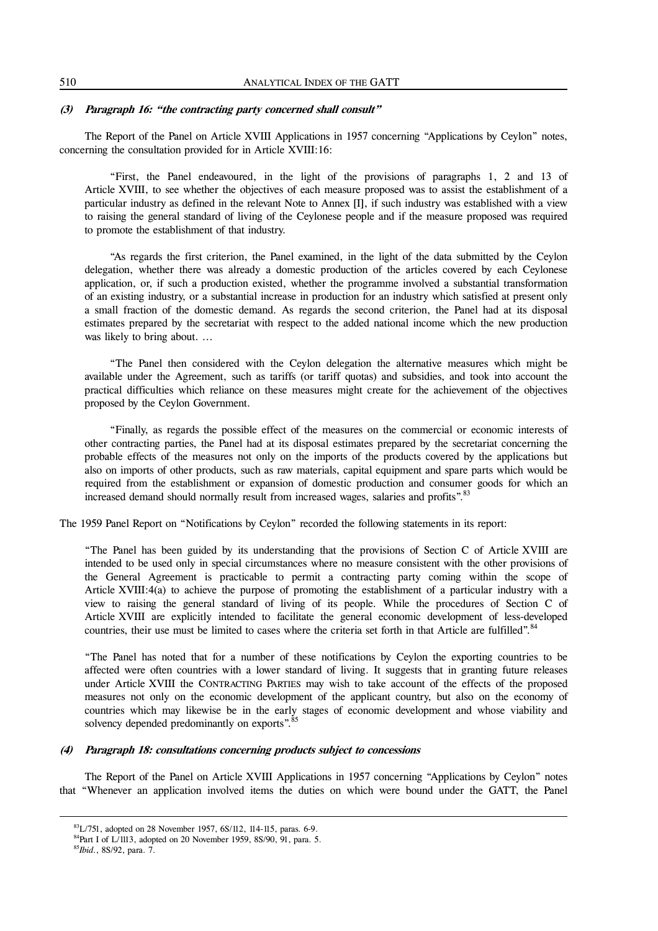# **(3) Paragraph 16: "the contracting party concerned shall consult"**

 The Report of the Panel on Article XVIII Applications in 1957 concerning "Applications by Ceylon" notes, concerning the consultation provided for in Article XVIII:16:

 "First, the Panel endeavoured, in the light of the provisions of paragraphs 1, 2 and 13 of Article XVIII, to see whether the objectives of each measure proposed was to assist the establishment of a particular industry as defined in the relevant Note to Annex [I], if such industry was established with a view to raising the general standard of living of the Ceylonese people and if the measure proposed was required to promote the establishment of that industry.

 "As regards the first criterion, the Panel examined, in the light of the data submitted by the Ceylon delegation, whether there was already a domestic production of the articles covered by each Ceylonese application, or, if such a production existed, whether the programme involved a substantial transformation of an existing industry, or a substantial increase in production for an industry which satisfied at present only a small fraction of the domestic demand. As regards the second criterion, the Panel had at its disposal estimates prepared by the secretariat with respect to the added national income which the new production was likely to bring about. ...

 "The Panel then considered with the Ceylon delegation the alternative measures which might be available under the Agreement, such as tariffs (or tariff quotas) and subsidies, and took into account the practical difficulties which reliance on these measures might create for the achievement of the objectives proposed by the Ceylon Government.

 "Finally, as regards the possible effect of the measures on the commercial or economic interests of other contracting parties, the Panel had at its disposal estimates prepared by the secretariat concerning the probable effects of the measures not only on the imports of the products covered by the applications but also on imports of other products, such as raw materials, capital equipment and spare parts which would be required from the establishment or expansion of domestic production and consumer goods for which an increased demand should normally result from increased wages, salaries and profits".<sup>83</sup>

The 1959 Panel Report on "Notifications by Ceylon" recorded the following statements in its report:

 "The Panel has been guided by its understanding that the provisions of Section C of Article XVIII are intended to be used only in special circumstances where no measure consistent with the other provisions of the General Agreement is practicable to permit a contracting party coming within the scope of Article XVIII:4(a) to achieve the purpose of promoting the establishment of a particular industry with a view to raising the general standard of living of its people. While the procedures of Section C of Article XVIII are explicitly intended to facilitate the general economic development of less-developed countries, their use must be limited to cases where the criteria set forth in that Article are fulfilled".<sup>84</sup>

 "The Panel has noted that for a number of these notifications by Ceylon the exporting countries to be affected were often countries with a lower standard of living. It suggests that in granting future releases under Article XVIII the CONTRACTING PARTIES may wish to take account of the effects of the proposed measures not only on the economic development of the applicant country, but also on the economy of countries which may likewise be in the early stages of economic development and whose viability and solvency depended predominantly on exports".<sup>85</sup>

# **(4) Paragraph 18: consultations concerning products subject to concessions**

 The Report of the Panel on Article XVIII Applications in 1957 concerning "Applications by Ceylon" notes that "Whenever an application involved items the duties on which were bound under the GATT, the Panel

-

<sup>83</sup>L/751, adopted on 28 November 1957, 6S/112, 114-115, paras. 6-9.

84Part I of L/1113, adopted on 20 November 1959, 8S/90, 91, para. 5.

<sup>85</sup>*Ibid*., 8S/92, para. 7.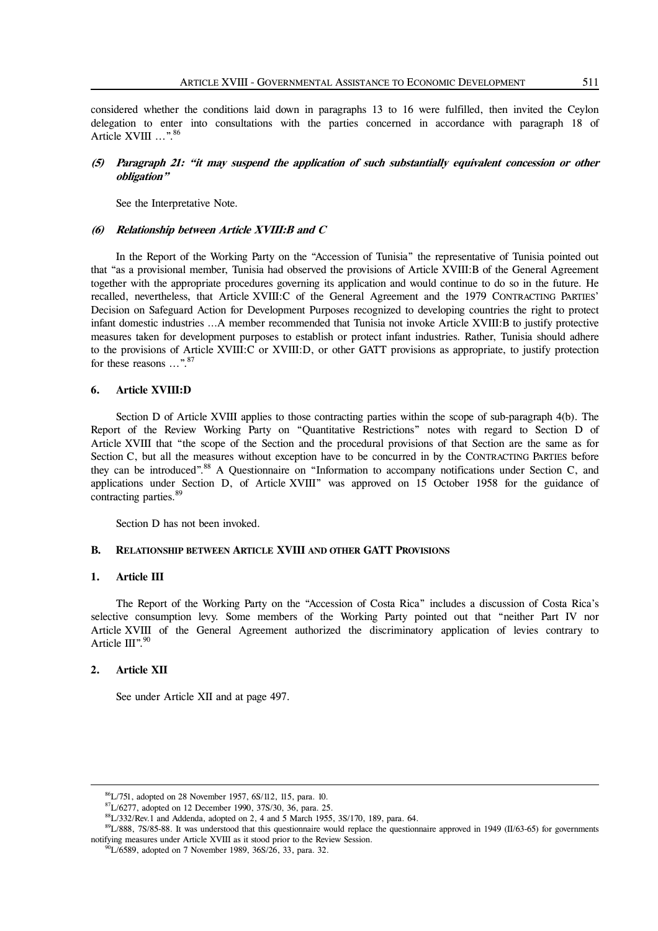considered whether the conditions laid down in paragraphs 13 to 16 were fulfilled, then invited the Ceylon delegation to enter into consultations with the parties concerned in accordance with paragraph 18 of Article XVIII ...". 86

# **(5) Paragraph 21: "it may suspend the application of such substantially equivalent concession or other obligation"**

See the Interpretative Note.

# **(6) Relationship between Article XVIII:B and C**

 In the Report of the Working Party on the "Accession of Tunisia" the representative of Tunisia pointed out that "as a provisional member, Tunisia had observed the provisions of Article XVIII:B of the General Agreement together with the appropriate procedures governing its application and would continue to do so in the future. He recalled, nevertheless, that Article XVIII:C of the General Agreement and the 1979 CONTRACTING PARTIES' Decision on Safeguard Action for Development Purposes recognized to developing countries the right to protect infant domestic industries …A member recommended that Tunisia not invoke Article XVIII:B to justify protective measures taken for development purposes to establish or protect infant industries. Rather, Tunisia should adhere to the provisions of Article XVIII:C or XVIII:D, or other GATT provisions as appropriate, to justify protection for these reasons ...".<sup>87</sup>

# **6. Article XVIII:D**

 Section D of Article XVIII applies to those contracting parties within the scope of sub-paragraph 4(b). The Report of the Review Working Party on "Quantitative Restrictions" notes with regard to Section D of Article XVIII that "the scope of the Section and the procedural provisions of that Section are the same as for Section C, but all the measures without exception have to be concurred in by the CONTRACTING PARTIES before they can be introduced".<sup>88</sup> A Questionnaire on "Information to accompany notifications under Section C, and applications under Section D, of Article XVIII" was approved on 15 October 1958 for the guidance of contracting parties.<sup>8</sup>

Section D has not been invoked.

# **B. RELATIONSHIP BETWEEN ARTICLE XVIII AND OTHER GATT PROVISIONS**

# **1. Article III**

 The Report of the Working Party on the "Accession of Costa Rica" includes a discussion of Costa Rica's selective consumption levy. Some members of the Working Party pointed out that "neither Part IV nor Article XVIII of the General Agreement authorized the discriminatory application of levies contrary to Article  $III$ ".<sup>90</sup>

# **2. Article XII**

 $\overline{a}$ 

See under Article XII and at page 497.

<sup>86</sup>L/751, adopted on 28 November 1957, 6S/112, 115, para. 10.

87L/6277, adopted on 12 December 1990, 37S/30, 36, para. 25.

 $88L/332/$ Rev.1 and Addenda, adopted on 2, 4 and 5 March 1955, 3S/170, 189, para. 64.

<sup>&</sup>lt;sup>89</sup>L/888, 7S/85-88. It was understood that this questionnaire would replace the questionnaire approved in 1949 (II/63-65) for governments notifying measures under Article XVIII as it stood prior to the Review Session.

 $^{90}$ L/6589, adopted on 7 November 1989, 36S/26, 33, para. 32.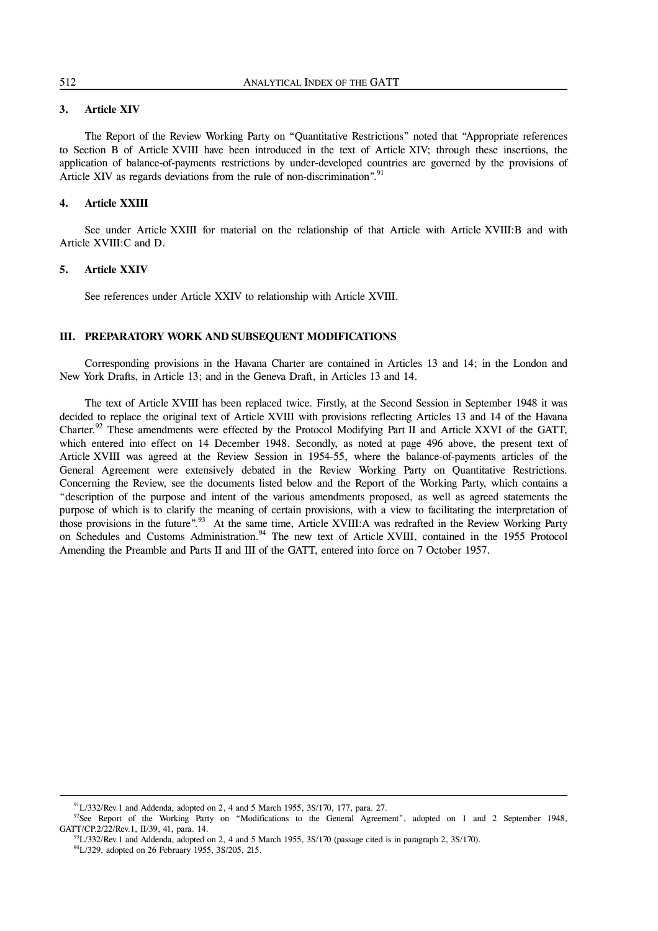# **3. Article XIV**

 The Report of the Review Working Party on "Quantitative Restrictions" noted that "Appropriate references to Section B of Article XVIII have been introduced in the text of Article XIV; through these insertions, the application of balance-of-payments restrictions by under-developed countries are governed by the provisions of Article XIV as regards deviations from the rule of non-discrimination".<sup>91</sup>

# **4. Article XXIII**

 See under Article XXIII for material on the relationship of that Article with Article XVIII:B and with Article XVIII:C and D.

# **5. Article XXIV**

See references under Article XXIV to relationship with Article XVIII.

# **III. PREPARATORY WORK AND SUBSEQUENT MODIFICATIONS**

 Corresponding provisions in the Havana Charter are contained in Articles 13 and 14; in the London and New York Drafts, in Article 13; and in the Geneva Draft, in Articles 13 and 14.

 The text of Article XVIII has been replaced twice. Firstly, at the Second Session in September 1948 it was decided to replace the original text of Article XVIII with provisions reflecting Articles 13 and 14 of the Havana Charter.<sup>92</sup> These amendments were effected by the Protocol Modifying Part II and Article XXVI of the GATT, which entered into effect on 14 December 1948. Secondly, as noted at page 496 above, the present text of Article XVIII was agreed at the Review Session in 1954-55, where the balance-of-payments articles of the General Agreement were extensively debated in the Review Working Party on Quantitative Restrictions. Concerning the Review, see the documents listed below and the Report of the Working Party, which contains a "description of the purpose and intent of the various amendments proposed, as well as agreed statements the purpose of which is to clarify the meaning of certain provisions, with a view to facilitating the interpretation of those provisions in the future".<sup>93</sup> At the same time, Article XVIII:A was redrafted in the Review Working Party on Schedules and Customs Administration.<sup>94</sup> The new text of Article XVIII, contained in the 1955 Protocol Amending the Preamble and Parts II and III of the GATT, entered into force on 7 October 1957.

<u>.</u>

 $^{91}L/332$ /Rev.1 and Addenda, adopted on 2, 4 and 5 March 1955, 3S/170, 177, para. 27.

<sup>&</sup>lt;sup>92</sup>See Report of the Working Party on "Modifications to the General Agreement", adopted on 1 and 2 September 1948, GATT/CP.2/22/Rev.1, II/39, 41, para. 14.

 $^{93}L/332$ /Rev.1 and Addenda, adopted on 2, 4 and 5 March 1955, 3S/170 (passage cited is in paragraph 2, 3S/170).

<sup>&</sup>lt;sup>94</sup>L/329, adopted on 26 February 1955, 3S/205, 215.